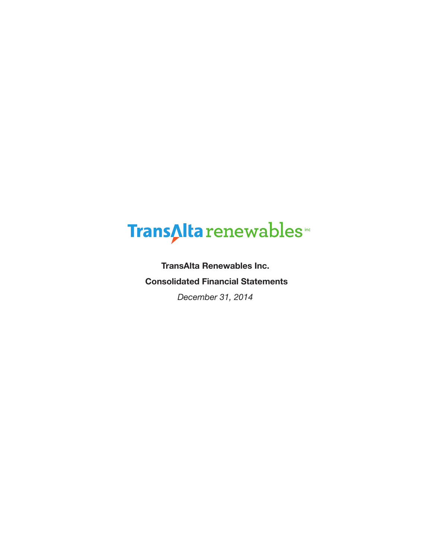# TransAlta renewables

**TransAlta Renewables Inc. Consolidated Financial Statements**

*December 31, 2014*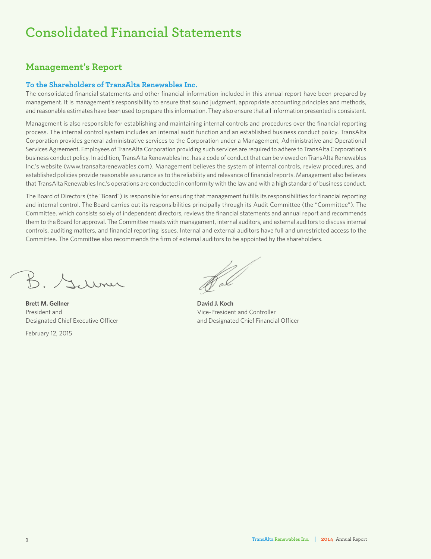# **Consolidated Financial Statements**

### **Management's Report**

#### **To the Shareholders of TransAlta Renewables Inc.**

The consolidated financial statements and other financial information included in this annual report have been prepared by management. It is management's responsibility to ensure that sound judgment, appropriate accounting principles and methods, and reasonable estimates have been used to prepare this information. They also ensure that all information presented is consistent.

Management is also responsible for establishing and maintaining internal controls and procedures over the financial reporting process. The internal control system includes an internal audit function and an established business conduct policy. TransAlta Corporation provides general administrative services to the Corporation under a Management, Administrative and Operational Services Agreement. Employees of TransAlta Corporation providing such services are required to adhere to TransAlta Corporation's business conduct policy. In addition, TransAlta Renewables Inc. has a code of conduct that can be viewed on TransAlta Renewables Inc.'s website (www.transaltarenewables.com). Management believes the system of internal controls, review procedures, and established policies provide reasonable assurance as to the reliability and relevance of financial reports. Management also believes that TransAlta Renewables Inc.'s operations are conducted in conformity with the law and with a high standard of business conduct.

The Board of Directors (the "Board") is responsible for ensuring that management fulfills its responsibilities for financial reporting and internal control. The Board carries out its responsibilities principally through its Audit Committee (the "Committee"). The Committee, which consists solely of independent directors, reviews the financial statements and annual report and recommends them to the Board for approval. The Committee meets with management, internal auditors, and external auditors to discuss internal controls, auditing matters, and financial reporting issues. Internal and external auditors have full and unrestricted access to the Committee. The Committee also recommends the firm of external auditors to be appointed by the shareholders.

K Millmer

**Brett M. Gellner David J. Koch** President and Vice-President and Controller

February 12, 2015

Designated Chief Executive Officer and Designated Chief Financial Officer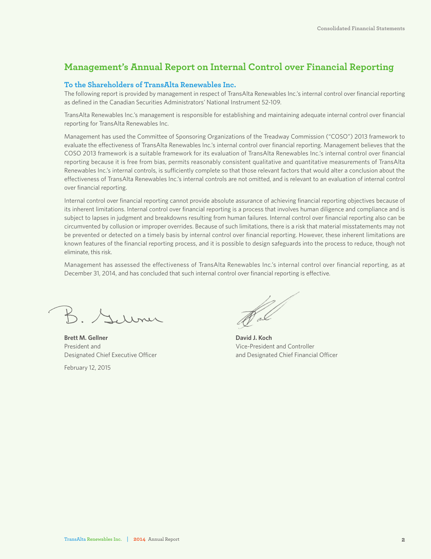### **Management's Annual Report on Internal Control over Financial Reporting**

#### **To the Shareholders of TransAlta Renewables Inc.**

The following report is provided by management in respect of TransAlta Renewables Inc.'s internal control over financial reporting as defined in the Canadian Securities Administrators' National Instrument 52-109.

TransAlta Renewables Inc.'s management is responsible for establishing and maintaining adequate internal control over financial reporting for TransAlta Renewables Inc.

Management has used the Committee of Sponsoring Organizations of the Treadway Commission ("COSO") 2013 framework to evaluate the effectiveness of TransAlta Renewables Inc.'s internal control over financial reporting. Management believes that the COSO 2013 framework is a suitable framework for its evaluation of TransAlta Renewables Inc.'s internal control over financial reporting because it is free from bias, permits reasonably consistent qualitative and quantitative measurements of TransAlta Renewables Inc.'s internal controls, is sufficiently complete so that those relevant factors that would alter a conclusion about the effectiveness of TransAlta Renewables Inc.'s internal controls are not omitted, and is relevant to an evaluation of internal control over financial reporting.

Internal control over financial reporting cannot provide absolute assurance of achieving financial reporting objectives because of its inherent limitations. Internal control over financial reporting is a process that involves human diligence and compliance and is subject to lapses in judgment and breakdowns resulting from human failures. Internal control over financial reporting also can be circumvented by collusion or improper overrides. Because of such limitations, there is a risk that material misstatements may not be prevented or detected on a timely basis by internal control over financial reporting. However, these inherent limitations are known features of the financial reporting process, and it is possible to design safeguards into the process to reduce, though not eliminate, this risk.

Management has assessed the effectiveness of TransAlta Renewables Inc.'s internal control over financial reporting, as at December 31, 2014, and has concluded that such internal control over financial reporting is effective.

B. Surmer

**Brett M. Gellner David J. Koch** President and Vice-President and Controller

February 12, 2015

Designated Chief Executive Officer and Designated Chief Financial Officer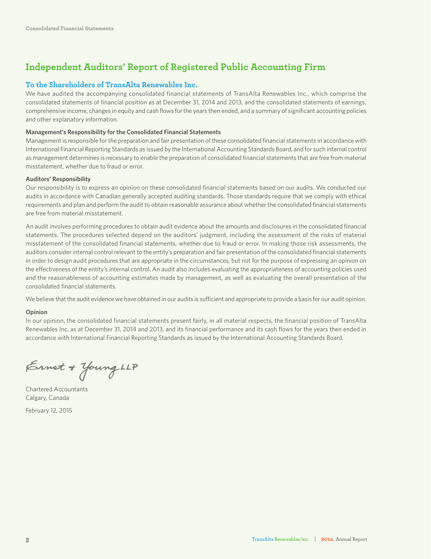### **Independent Auditors' Report of Registered Public Accounting Firm**

#### **To the Shareholders of TransAlta Renewables Inc.**

We have audited the accompanying consolidated financial statements of TransAlta Renewables Inc., which comprise the consolidated statements of financial position as at December 31, 2014 and 2013, and the consolidated statements of earnings, comprehensive income, changes in equity and cash flows for the years then ended, and a summary of significant accounting policies and other explanatory information.

#### **Management's Responsibility for the Consolidated Financial Statements**

Management is responsible for the preparation and fair presentation of these consolidated financial statements in accordance with International Financial Reporting Standards as issued by the International Accounting Standards Board, and for such internal control as management determines is necessary to enable the preparation of consolidated financial statements that are free from material misstatement, whether due to fraud or error.

#### **Auditors' Responsibility**

Our responsibility is to express an opinion on these consolidated financial statements based on our audits. We conducted our audits in accordance with Canadian generally accepted auditing standards. Those standards require that we comply with ethical requirements and plan and perform the audit to obtain reasonable assurance about whether the consolidated financial statements are free from material misstatement.

An audit involves performing procedures to obtain audit evidence about the amounts and disclosures in the consolidated financial statements. The procedures selected depend on the auditors' judgment, including the assessment of the risks of material misstatement of the consolidated financial statements, whether due to fraud or error. In making those risk assessments, the auditors consider internal control relevant to the entity's preparation and fair presentation of the consolidated financial statements in order to design audit procedures that are appropriate in the circumstances, but not for the purpose of expressing an opinion on the effectiveness of the entity's internal control. An audit also includes evaluating the appropriateness of accounting policies used and the reasonableness of accounting estimates made by management, as well as evaluating the overall presentation of the consolidated financial statements.

We believe that the audit evidence we have obtained in our audits is sufficient and appropriate to provide a basis for our audit opinion.

#### **Opinion**

In our opinion, the consolidated financial statements present fairly, in all material respects, the financial position of TransAlta Renewables Inc. as at December 31, 2014 and 2013, and its financial performance and its cash flows for the years then ended in accordance with International Financial Reporting Standards as issued by the International Accounting Standards Board.

Ernet + Young LLP

Chartered Accountants Calgary, Canada

February 12, 2015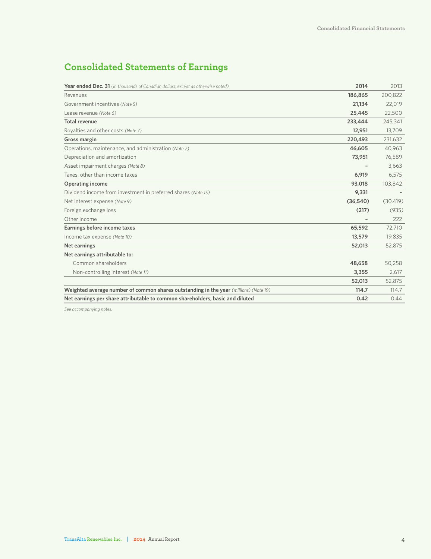### **Consolidated Statements of Earnings**

| <b>Year ended Dec. 31</b> (in thousands of Canadian dollars, except as otherwise noted) | 2014     | 2013      |
|-----------------------------------------------------------------------------------------|----------|-----------|
| Revenues                                                                                | 186,865  | 200,822   |
| Government incentives (Note 5)                                                          | 21,134   | 22,019    |
| Lease revenue (Note 6)                                                                  | 25,445   | 22,500    |
| <b>Total revenue</b>                                                                    | 233,444  | 245,341   |
| Royalties and other costs (Note 7)                                                      | 12,951   | 13,709    |
| Gross margin                                                                            | 220,493  | 231,632   |
| Operations, maintenance, and administration (Note 7)                                    | 46,605   | 40,963    |
| Depreciation and amortization                                                           | 73,951   | 76,589    |
| Asset impairment charges (Note 8)                                                       |          | 3,663     |
| Taxes, other than income taxes                                                          | 6,919    | 6,575     |
| <b>Operating income</b>                                                                 | 93,018   | 103,842   |
| Dividend income from investment in preferred shares (Note 15)                           | 9,331    |           |
| Net interest expense (Note 9)                                                           | (36,540) | (30, 419) |
| Foreign exchange loss                                                                   | (217)    | (935)     |
| Other income                                                                            |          | 222       |
| Earnings before income taxes                                                            | 65,592   | 72,710    |
| Income tax expense (Note 10)                                                            | 13,579   | 19,835    |
| <b>Net earnings</b>                                                                     | 52,013   | 52,875    |
| Net earnings attributable to:                                                           |          |           |
| Common shareholders                                                                     | 48,658   | 50,258    |
| Non-controlling interest (Note 11)                                                      | 3,355    | 2,617     |
|                                                                                         | 52,013   | 52,875    |
| Weighted average number of common shares outstanding in the year (millions) (Note 19)   | 114.7    | 114.7     |
| Net earnings per share attributable to common shareholders, basic and diluted           | 0.42     | 0.44      |

*See accompanying notes.*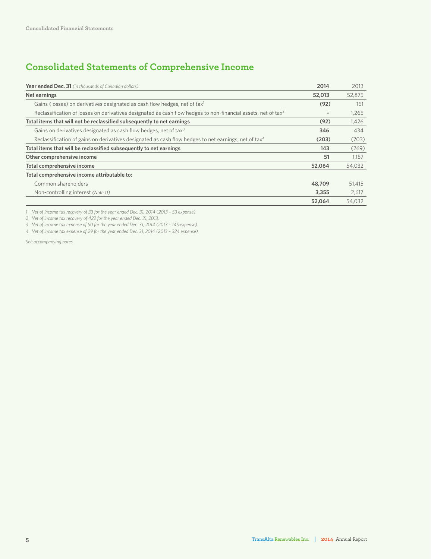### **Consolidated Statements of Comprehensive Income**

| Year ended Dec. 31 (in thousands of Canadian dollars)                                                                     | 2014                     | 2013   |
|---------------------------------------------------------------------------------------------------------------------------|--------------------------|--------|
| Net earnings                                                                                                              | 52,013                   | 52,875 |
| Gains (losses) on derivatives designated as cash flow hedges, net of tax <sup>1</sup>                                     | (92)                     | 161    |
| Reclassification of losses on derivatives designated as cash flow hedges to non-financial assets, net of tax <sup>2</sup> | $\overline{\phantom{a}}$ | 1.265  |
| Total items that will not be reclassified subsequently to net earnings                                                    | (92)                     | 1,426  |
| Gains on derivatives designated as cash flow hedges, net of tax <sup>3</sup>                                              | 346                      | 434    |
| Reclassification of gains on derivatives designated as cash flow hedges to net earnings, net of tax <sup>4</sup>          | (203)                    | (703)  |
| Total items that will be reclassified subsequently to net earnings                                                        | 143                      | (269)  |
| Other comprehensive income                                                                                                | 51                       | 1,157  |
| Total comprehensive income                                                                                                | 52,064                   | 54,032 |
| Total comprehensive income attributable to:                                                                               |                          |        |
| Common shareholders                                                                                                       | 48,709                   | 51,415 |
| Non-controlling interest (Note 11)                                                                                        | 3,355                    | 2,617  |
|                                                                                                                           | 52.064                   | 54.032 |

*1 Net of income tax recovery of 33 for the year ended Dec. 31, 2014 (2013 – 53 expense).*

*2 Net of income tax recovery of 422 for the year ended Dec. 31, 2013.*

*3 Net of income tax expense of 50 for the year ended Dec. 31, 2014 (2013 – 145 expense).*

*4 Net of income tax expense of 29 for the year ended Dec. 31, 2014 (2013 – 324 expense).*

*See accompanying notes.*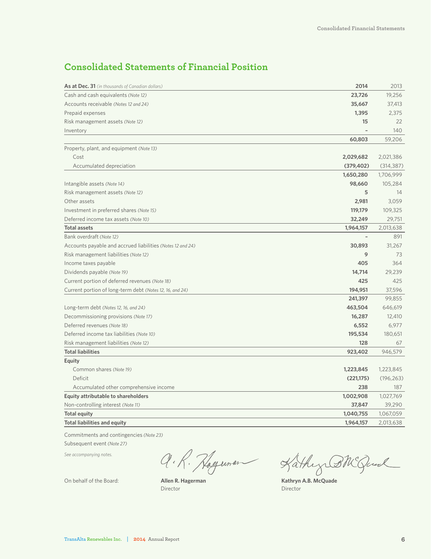### **Consolidated Statements of Financial Position**

| As at Dec. 31 (in thousands of Canadian dollars)           | 2014       | 2013       |
|------------------------------------------------------------|------------|------------|
| Cash and cash equivalents (Note 12)                        | 23,726     | 19,256     |
| Accounts receivable (Notes 12 and 24)                      | 35,667     | 37,413     |
| Prepaid expenses                                           | 1,395      | 2,375      |
| Risk management assets (Note 12)                           | 15         | 22         |
| Inventory                                                  |            | 140        |
|                                                            | 60,803     | 59,206     |
| Property, plant, and equipment (Note 13)                   |            |            |
| Cost                                                       | 2,029,682  | 2,021,386  |
| Accumulated depreciation                                   | (379, 402) | (314, 387) |
|                                                            | 1,650,280  | 1,706,999  |
| Intangible assets (Note 14)                                | 98,660     | 105,284    |
| Risk management assets (Note 12)                           | 5          | 14         |
| Other assets                                               | 2,981      | 3,059      |
| Investment in preferred shares (Note 15)                   | 119,179    | 109,325    |
| Deferred income tax assets (Note 10)                       | 32,249     | 29,751     |
| <b>Total assets</b>                                        | 1,964,157  | 2,013,638  |
| Bank overdraft (Note 12)                                   |            | 891        |
| Accounts payable and accrued liabilities (Notes 12 and 24) | 30,893     | 31,267     |
| Risk management liabilities (Note 12)                      | 9          | 73         |
| Income taxes payable                                       | 405        | 364        |
| Dividends payable (Note 19)                                | 14,714     | 29,239     |
| Current portion of deferred revenues (Note 18)             | 425        | 425        |
| Current portion of long-term debt (Notes 12, 16, and 24)   | 194,951    | 37,596     |
|                                                            | 241,397    | 99,855     |
| Long-term debt (Notes 12, 16, and 24)                      | 463,504    | 646,619    |
| Decommissioning provisions (Note 17)                       | 16,287     | 12,410     |
| Deferred revenues (Note 18)                                | 6,552      | 6,977      |
| Deferred income tax liabilities (Note 10)                  | 195,534    | 180,651    |
| Risk management liabilities (Note 12)                      | 128        | 67         |
| <b>Total liabilities</b>                                   | 923,402    | 946,579    |
| Equity                                                     |            |            |
| Common shares (Note 19)                                    | 1,223,845  | 1,223,845  |
| Deficit                                                    | (221, 175) | (196, 263) |
| Accumulated other comprehensive income                     | 238        | 187        |
| Equity attributable to shareholders                        | 1,002,908  | 1,027,769  |
| Non-controlling interest (Note 11)                         | 37,847     | 39,290     |
| <b>Total equity</b>                                        | 1,040,755  | 1,067,059  |
| <b>Total liabilities and equity</b>                        | 1,964,157  | 2,013,638  |

Commitments and contingencies *(Note 23)*

Subsequent event *(Note 27)*

*See accompanying notes.*

Q.R. Hogeman Kathy BNGund

Director Director

On behalf of the Board: **Allen R. Hagerman Kathryn A.B. McQuade**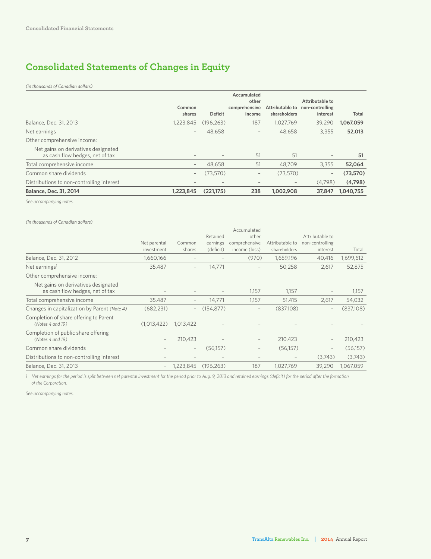### **Consolidated Statements of Changes in Equity**

*(in thousands of Canadian dollars)*

|                                                                        |                          |                          | Accumulated<br>other     |                                 | Attributable to             |           |
|------------------------------------------------------------------------|--------------------------|--------------------------|--------------------------|---------------------------------|-----------------------------|-----------|
|                                                                        | Common<br>shares         | <b>Deficit</b>           | comprehensive<br>income  | Attributable to<br>shareholders | non-controlling<br>interest | Total     |
| Balance, Dec. 31, 2013                                                 | 1.223.845                | (196.263)                | 187                      | 1,027,769                       | 39.290                      | 1,067,059 |
| Net earnings                                                           | $\overline{\phantom{a}}$ | 48,658                   | $\qquad \qquad -$        | 48,658                          | 3,355                       | 52,013    |
| Other comprehensive income:                                            |                          |                          |                          |                                 |                             |           |
| Net gains on derivatives designated<br>as cash flow hedges, net of tax | $\overline{\phantom{a}}$ |                          | 51                       | 51                              | $\overline{\phantom{a}}$    | 51        |
| Total comprehensive income                                             | $\qquad \qquad -$        | 48.658                   | 51                       | 48.709                          | 3.355                       | 52,064    |
| Common share dividends                                                 | $\qquad \qquad -$        | (73.570)                 | $\qquad \qquad -$        | (73.570)                        | $\overline{\phantom{0}}$    | (73,570)  |
| Distributions to non-controlling interest                              | $\overline{\phantom{a}}$ | $\overline{\phantom{a}}$ | $\overline{\phantom{a}}$ | $\qquad \qquad -$               | (4.798)                     | (4,798)   |
| <b>Balance, Dec. 31, 2014</b>                                          | 1,223,845                | (221,175)                | 238                      | 1,002,908                       | 37,847                      | 1,040,755 |

*See accompanying notes.*

*(in thousands of Canadian dollars)*

|                                                            |                   |                   |            | Accumulated       |                          |                          |           |
|------------------------------------------------------------|-------------------|-------------------|------------|-------------------|--------------------------|--------------------------|-----------|
|                                                            |                   |                   | Retained   | other             |                          | Attributable to          |           |
|                                                            | Net parental      | Common            | earnings   | comprehensive     | Attributable to          | non-controlling          |           |
|                                                            | investment        | shares            | (deficit)  | income (loss)     | shareholders             | interest                 | Total     |
| Balance, Dec. 31, 2012                                     | 1,660,166         |                   |            | (970)             | 1,659,196                | 40,416                   | 1,699,612 |
| Net earnings <sup>1</sup>                                  | 35.487            |                   | 14.771     |                   | 50,258                   | 2.617                    | 52,875    |
| Other comprehensive income:                                |                   |                   |            |                   |                          |                          |           |
| Net gains on derivatives designated                        |                   |                   |            |                   |                          |                          |           |
| as cash flow hedges, net of tax                            |                   |                   |            | 1,157             | 1,157                    | $\qquad \qquad$          | 1,157     |
| Total comprehensive income                                 | 35,487            |                   | 14,771     | 1,157             | 51,415                   | 2,617                    | 54,032    |
| Changes in capitalization by Parent (Note 4)               | (682, 231)        | -                 | (154, 877) |                   | (837,108)                | $\overline{\phantom{a}}$ | (837,108) |
| Completion of share offering to Parent<br>(Notes 4 and 19) | (1,013,422)       | 1,013,422         |            |                   |                          |                          |           |
| Completion of public share offering                        |                   |                   |            |                   |                          |                          |           |
| (Notes 4 and 19)                                           | $\qquad \qquad -$ | 210,423           |            | $\qquad \qquad -$ | 210,423                  |                          | 210,423   |
| Common share dividends                                     |                   | $\qquad \qquad -$ | (56,157)   | $\qquad \qquad -$ | (56,157)                 | $\qquad \qquad -$        | (56,157)  |
| Distributions to non-controlling interest                  |                   |                   |            |                   | $\overline{\phantom{a}}$ | (3,743)                  | (3,743)   |
| Balance, Dec. 31, 2013                                     |                   | 1,223,845         | (196.263)  | 187               | 1,027,769                | 39.290                   | 1,067,059 |

*1 Net earnings for the period is split between net parental investment for the period prior to Aug. 9, 2013 and retained earnings (deficit) for the period after the formation of the Corporation.*

*See accompanying notes.*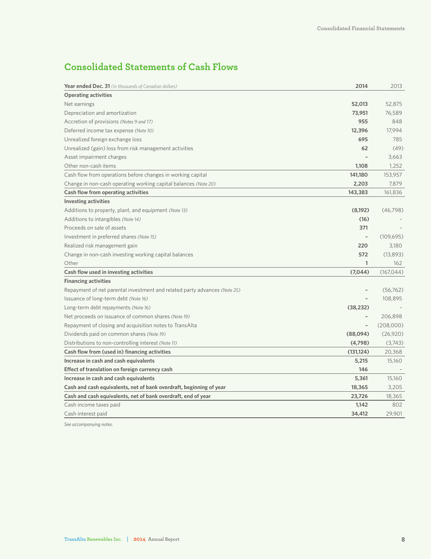### **Consolidated Statements of Cash Flows**

| <b>Year ended Dec. 31</b> (in thousands of Canadian dollars)              | 2014                     | 2013       |
|---------------------------------------------------------------------------|--------------------------|------------|
| <b>Operating activities</b>                                               |                          |            |
| Net earnings                                                              | 52,013                   | 52,875     |
| Depreciation and amortization                                             | 73,951                   | 76,589     |
| Accretion of provisions (Notes 9 and 17)                                  | 955                      | 848        |
| Deferred income tax expense (Note 10)                                     | 12,396                   | 17,994     |
| Unrealized foreign exchange loss                                          | 695                      | 785        |
| Unrealized (gain) loss from risk management activities                    | 62                       | (49)       |
| Asset impairment charges                                                  |                          | 3,663      |
| Other non-cash items                                                      | 1,108                    | 1,252      |
| Cash flow from operations before changes in working capital               | 141,180                  | 153,957    |
| Change in non-cash operating working capital balances (Note 20)           | 2,203                    | 7,879      |
| Cash flow from operating activities                                       | 143,383                  | 161,836    |
| <b>Investing activities</b>                                               |                          |            |
| Additions to property, plant, and equipment (Note 13)                     | (8,192)                  | (46, 798)  |
| Additions to intangibles (Note 14)                                        | (16)                     |            |
| Proceeds on sale of assets                                                | 371                      |            |
| Investment in preferred shares (Note 15)                                  |                          | (109, 695) |
| Realized risk management gain                                             | 220                      | 3,180      |
| Change in non-cash investing working capital balances                     | 572                      | (13,893)   |
| Other                                                                     | 1                        | 162        |
| Cash flow used in investing activities                                    | (7,044)                  | (167, 044) |
| <b>Financing activities</b>                                               |                          |            |
| Repayment of net parental investment and related party advances (Note 25) |                          | (56, 762)  |
| Issuance of long-term debt (Note 16)                                      |                          | 108,895    |
| Long-term debt repayments (Note 16)                                       | (38, 232)                |            |
| Net proceeds on issuance of common shares (Note 19)                       | $\overline{\phantom{0}}$ | 206,898    |
| Repayment of closing and acquisition notes to TransAlta                   | $\overline{\phantom{a}}$ | (208,000)  |
| Dividends paid on common shares (Note 19)                                 | (88,094)                 | (26,920)   |
| Distributions to non-controlling interest (Note 11)                       | (4,798)                  | (3,743)    |
| Cash flow from (used in) financing activities                             | (131, 124)               | 20,368     |
| Increase in cash and cash equivalents                                     | 5,215                    | 15,160     |
| Effect of translation on foreign currency cash                            | 146                      |            |
| Increase in cash and cash equivalents                                     | 5,361                    | 15,160     |
| Cash and cash equivalents, net of bank overdraft, beginning of year       | 18,365                   | 3,205      |
| Cash and cash equivalents, net of bank overdraft, end of year             | 23,726                   | 18,365     |
| Cash income taxes paid                                                    | 1,142                    | 802        |
| Cash interest paid                                                        | 34,412                   | 29,901     |

*See accompanying notes.*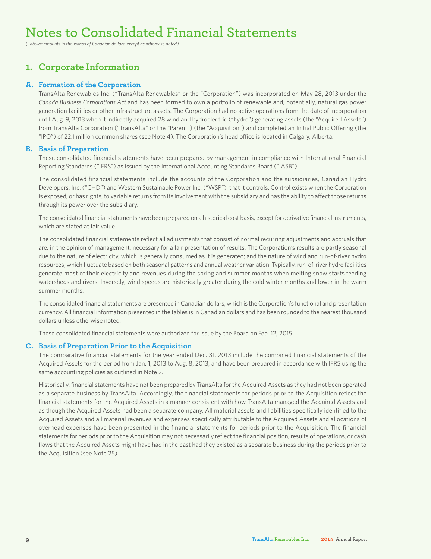## **Notes to Consolidated Financial Statements**

*(Tabular amounts in thousands of Canadian dollars, except as otherwise noted)*

### **1. Corporate Information**

#### **A. Formation of the Corporation**

TransAlta Renewables Inc. ("TransAlta Renewables" or the "Corporation") was incorporated on May 28, 2013 under the *Canada Business Corporations Act* and has been formed to own a portfolio of renewable and, potentially, natural gas power generation facilities or other infrastructure assets. The Corporation had no active operations from the date of incorporation until Aug. 9, 2013 when it indirectly acquired 28 wind and hydroelectric ("hydro") generating assets (the "Acquired Assets") from TransAlta Corporation ("TransAlta" or the "Parent") (the "Acquisition") and completed an Initial Public Offering (the "IPO") of 22.1 million common shares (see Note 4). The Corporation's head office is located in Calgary, Alberta.

#### **B. Basis of Preparation**

These consolidated financial statements have been prepared by management in compliance with International Financial Reporting Standards ("IFRS") as issued by the International Accounting Standards Board ("IASB").

The consolidated financial statements include the accounts of the Corporation and the subsidiaries, Canadian Hydro Developers, Inc. ("CHD") and Western Sustainable Power Inc. ("WSP"), that it controls. Control exists when the Corporation is exposed, or has rights, to variable returns from its involvement with the subsidiary and has the ability to affect those returns through its power over the subsidiary.

The consolidated financial statements have been prepared on a historical cost basis, except for derivative financial instruments, which are stated at fair value.

The consolidated financial statements reflect all adjustments that consist of normal recurring adjustments and accruals that are, in the opinion of management, necessary for a fair presentation of results. The Corporation's results are partly seasonal due to the nature of electricity, which is generally consumed as it is generated; and the nature of wind and run-of-river hydro resources, which fluctuate based on both seasonal patterns and annual weather variation. Typically, run-of-river hydro facilities generate most of their electricity and revenues during the spring and summer months when melting snow starts feeding watersheds and rivers. Inversely, wind speeds are historically greater during the cold winter months and lower in the warm summer months.

The consolidated financial statements are presented in Canadian dollars, which is the Corporation's functional and presentation currency. All financial information presented in the tables is in Canadian dollars and has been rounded to the nearest thousand dollars unless otherwise noted.

These consolidated financial statements were authorized for issue by the Board on Feb. 12, 2015.

#### **C. Basis of Preparation Prior to the Acquisition**

The comparative financial statements for the year ended Dec. 31, 2013 include the combined financial statements of the Acquired Assets for the period from Jan. 1, 2013 to Aug. 8, 2013, and have been prepared in accordance with IFRS using the same accounting policies as outlined in Note 2.

Historically, financial statements have not been prepared by TransAlta for the Acquired Assets as they had not been operated as a separate business by TransAlta. Accordingly, the financial statements for periods prior to the Acquisition reflect the financial statements for the Acquired Assets in a manner consistent with how TransAlta managed the Acquired Assets and as though the Acquired Assets had been a separate company. All material assets and liabilities specifically identified to the Acquired Assets and all material revenues and expenses specifically attributable to the Acquired Assets and allocations of overhead expenses have been presented in the financial statements for periods prior to the Acquisition. The financial statements for periods prior to the Acquisition may not necessarily reflect the financial position, results of operations, or cash flows that the Acquired Assets might have had in the past had they existed as a separate business during the periods prior to the Acquisition (see Note 25).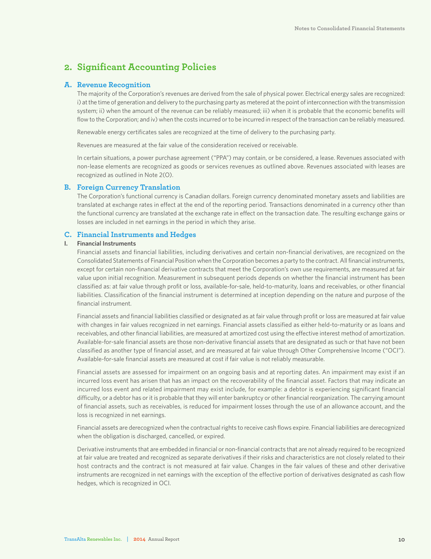### **2. Significant Accounting Policies**

#### **A. Revenue Recognition**

The majority of the Corporation's revenues are derived from the sale of physical power. Electrical energy sales are recognized: i) at the time of generation and delivery to the purchasing party as metered at the point of interconnection with the transmission system; ii) when the amount of the revenue can be reliably measured; iii) when it is probable that the economic benefits will flow to the Corporation; and iv) when the costs incurred or to be incurred in respect of the transaction can be reliably measured.

Renewable energy certificates sales are recognized at the time of delivery to the purchasing party.

Revenues are measured at the fair value of the consideration received or receivable.

In certain situations, a power purchase agreement ("PPA") may contain, or be considered, a lease. Revenues associated with non-lease elements are recognized as goods or services revenues as outlined above. Revenues associated with leases are recognized as outlined in Note 2(O).

#### **B. Foreign Currency Translation**

The Corporation's functional currency is Canadian dollars. Foreign currency denominated monetary assets and liabilities are translated at exchange rates in effect at the end of the reporting period. Transactions denominated in a currency other than the functional currency are translated at the exchange rate in effect on the transaction date. The resulting exchange gains or losses are included in net earnings in the period in which they arise.

#### **C. Financial Instruments and Hedges**

#### **I. Financial Instruments**

Financial assets and financial liabilities, including derivatives and certain non-financial derivatives, are recognized on the Consolidated Statements of Financial Position when the Corporation becomes a party to the contract. All financial instruments, except for certain non-financial derivative contracts that meet the Corporation's own use requirements, are measured at fair value upon initial recognition. Measurement in subsequent periods depends on whether the financial instrument has been classified as: at fair value through profit or loss, available-for-sale, held-to-maturity, loans and receivables, or other financial liabilities. Classification of the financial instrument is determined at inception depending on the nature and purpose of the financial instrument.

Financial assets and financial liabilities classified or designated as at fair value through profit or loss are measured at fair value with changes in fair values recognized in net earnings. Financial assets classified as either held-to-maturity or as loans and receivables, and other financial liabilities, are measured at amortized cost using the effective interest method of amortization. Available-for-sale financial assets are those non-derivative financial assets that are designated as such or that have not been classified as another type of financial asset, and are measured at fair value through Other Comprehensive Income ("OCI"). Available-for-sale financial assets are measured at cost if fair value is not reliably measurable.

Financial assets are assessed for impairment on an ongoing basis and at reporting dates. An impairment may exist if an incurred loss event has arisen that has an impact on the recoverability of the financial asset. Factors that may indicate an incurred loss event and related impairment may exist include, for example: a debtor is experiencing significant financial difficulty, or a debtor has or it is probable that they will enter bankruptcy or other financial reorganization. The carrying amount of financial assets, such as receivables, is reduced for impairment losses through the use of an allowance account, and the loss is recognized in net earnings.

Financial assets are derecognized when the contractual rights to receive cash flows expire. Financial liabilities are derecognized when the obligation is discharged, cancelled, or expired.

Derivative instruments that are embedded in financial or non-financial contracts that are not already required to be recognized at fair value are treated and recognized as separate derivatives if their risks and characteristics are not closely related to their host contracts and the contract is not measured at fair value. Changes in the fair values of these and other derivative instruments are recognized in net earnings with the exception of the effective portion of derivatives designated as cash flow hedges, which is recognized in OCI.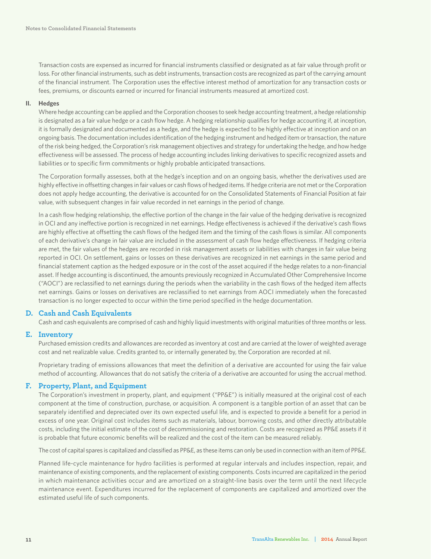Transaction costs are expensed as incurred for financial instruments classified or designated as at fair value through profit or loss. For other financial instruments, such as debt instruments, transaction costs are recognized as part of the carrying amount of the financial instrument. The Corporation uses the effective interest method of amortization for any transaction costs or fees, premiums, or discounts earned or incurred for financial instruments measured at amortized cost.

#### **II. Hedges**

Where hedge accounting can be applied and the Corporation chooses to seek hedge accounting treatment, a hedge relationship is designated as a fair value hedge or a cash flow hedge. A hedging relationship qualifies for hedge accounting if, at inception, it is formally designated and documented as a hedge, and the hedge is expected to be highly effective at inception and on an ongoing basis. The documentation includes identification of the hedging instrument and hedged item or transaction, the nature of the risk being hedged, the Corporation's risk management objectives and strategy for undertaking the hedge, and how hedge effectiveness will be assessed. The process of hedge accounting includes linking derivatives to specific recognized assets and liabilities or to specific firm commitments or highly probable anticipated transactions.

The Corporation formally assesses, both at the hedge's inception and on an ongoing basis, whether the derivatives used are highly effective in offsetting changes in fair values or cash flows of hedged items. If hedge criteria are not met or the Corporation does not apply hedge accounting, the derivative is accounted for on the Consolidated Statements of Financial Position at fair value, with subsequent changes in fair value recorded in net earnings in the period of change.

In a cash flow hedging relationship, the effective portion of the change in the fair value of the hedging derivative is recognized in OCI and any ineffective portion is recognized in net earnings. Hedge effectiveness is achieved if the derivative's cash flows are highly effective at offsetting the cash flows of the hedged item and the timing of the cash flows is similar. All components of each derivative's change in fair value are included in the assessment of cash flow hedge effectiveness. If hedging criteria are met, the fair values of the hedges are recorded in risk management assets or liabilities with changes in fair value being reported in OCI. On settlement, gains or losses on these derivatives are recognized in net earnings in the same period and financial statement caption as the hedged exposure or in the cost of the asset acquired if the hedge relates to a non-financial asset. If hedge accounting is discontinued, the amounts previously recognized in Accumulated Other Comprehensive Income ("AOCI") are reclassified to net earnings during the periods when the variability in the cash flows of the hedged item affects net earnings. Gains or losses on derivatives are reclassified to net earnings from AOCI immediately when the forecasted transaction is no longer expected to occur within the time period specified in the hedge documentation.

#### **D. Cash and Cash Equivalents**

Cash and cash equivalents are comprised of cash and highly liquid investments with original maturities of three months or less.

#### **E. Inventory**

Purchased emission credits and allowances are recorded as inventory at cost and are carried at the lower of weighted average cost and net realizable value. Credits granted to, or internally generated by, the Corporation are recorded at nil.

Proprietary trading of emissions allowances that meet the definition of a derivative are accounted for using the fair value method of accounting. Allowances that do not satisfy the criteria of a derivative are accounted for using the accrual method.

#### **F. Property, Plant, and Equipment**

The Corporation's investment in property, plant, and equipment ("PP&E") is initially measured at the original cost of each component at the time of construction, purchase, or acquisition. A component is a tangible portion of an asset that can be separately identified and depreciated over its own expected useful life, and is expected to provide a benefit for a period in excess of one year. Original cost includes items such as materials, labour, borrowing costs, and other directly attributable costs, including the initial estimate of the cost of decommissioning and restoration. Costs are recognized as PP&E assets if it is probable that future economic benefits will be realized and the cost of the item can be measured reliably.

The cost of capital spares is capitalized and classified as PP&E, as these items can only be used in connection with an item of PP&E.

Planned life-cycle maintenance for hydro facilities is performed at regular intervals and includes inspection, repair, and maintenance of existing components, and the replacement of existing components. Costs incurred are capitalized in the period in which maintenance activities occur and are amortized on a straight-line basis over the term until the next lifecycle maintenance event. Expenditures incurred for the replacement of components are capitalized and amortized over the estimated useful life of such components.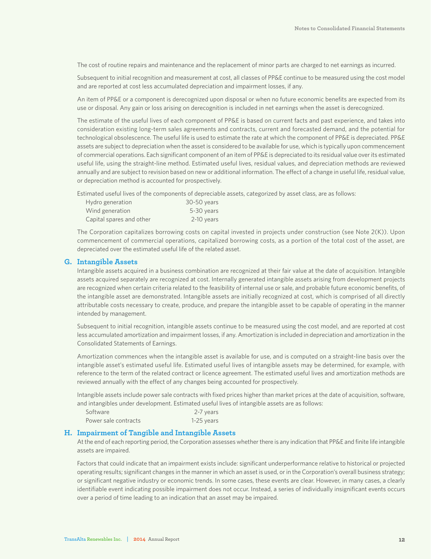The cost of routine repairs and maintenance and the replacement of minor parts are charged to net earnings as incurred.

Subsequent to initial recognition and measurement at cost, all classes of PP&E continue to be measured using the cost model and are reported at cost less accumulated depreciation and impairment losses, if any.

An item of PP&E or a component is derecognized upon disposal or when no future economic benefits are expected from its use or disposal. Any gain or loss arising on derecognition is included in net earnings when the asset is derecognized.

The estimate of the useful lives of each component of PP&E is based on current facts and past experience, and takes into consideration existing long-term sales agreements and contracts, current and forecasted demand, and the potential for technological obsolescence. The useful life is used to estimate the rate at which the component of PP&E is depreciated. PP&E assets are subject to depreciation when the asset is considered to be available for use, which is typically upon commencement of commercial operations. Each significant component of an item of PP&E is depreciated to its residual value over its estimated useful life, using the straight-line method. Estimated useful lives, residual values, and depreciation methods are reviewed annually and are subject to revision based on new or additional information. The effect of a change in useful life, residual value, or depreciation method is accounted for prospectively.

Estimated useful lives of the components of depreciable assets, categorized by asset class, are as follows:

| Hydro generation         | 30-50 years |
|--------------------------|-------------|
| Wind generation          | 5-30 years  |
| Capital spares and other | 2-10 years  |

The Corporation capitalizes borrowing costs on capital invested in projects under construction (see Note 2(K)). Upon commencement of commercial operations, capitalized borrowing costs, as a portion of the total cost of the asset, are depreciated over the estimated useful life of the related asset.

#### **G. Intangible Assets**

Intangible assets acquired in a business combination are recognized at their fair value at the date of acquisition. Intangible assets acquired separately are recognized at cost. Internally generated intangible assets arising from development projects are recognized when certain criteria related to the feasibility of internal use or sale, and probable future economic benefits, of the intangible asset are demonstrated. Intangible assets are initially recognized at cost, which is comprised of all directly attributable costs necessary to create, produce, and prepare the intangible asset to be capable of operating in the manner intended by management.

Subsequent to initial recognition, intangible assets continue to be measured using the cost model, and are reported at cost less accumulated amortization and impairment losses, if any. Amortization is included in depreciation and amortization in the Consolidated Statements of Earnings.

Amortization commences when the intangible asset is available for use, and is computed on a straight-line basis over the intangible asset's estimated useful life. Estimated useful lives of intangible assets may be determined, for example, with reference to the term of the related contract or licence agreement. The estimated useful lives and amortization methods are reviewed annually with the effect of any changes being accounted for prospectively.

Intangible assets include power sale contracts with fixed prices higher than market prices at the date of acquisition, software, and intangibles under development. Estimated useful lives of intangible assets are as follows:

| Software             | 2-7 years  |
|----------------------|------------|
| Power sale contracts | 1-25 years |

#### **H. Impairment of Tangible and Intangible Assets**

At the end of each reporting period, the Corporation assesses whether there is any indication that PP&E and finite life intangible assets are impaired.

Factors that could indicate that an impairment exists include: significant underperformance relative to historical or projected operating results; significant changes in the manner in which an asset is used, or in the Corporation's overall business strategy; or significant negative industry or economic trends. In some cases, these events are clear. However, in many cases, a clearly identifiable event indicating possible impairment does not occur. Instead, a series of individually insignificant events occurs over a period of time leading to an indication that an asset may be impaired.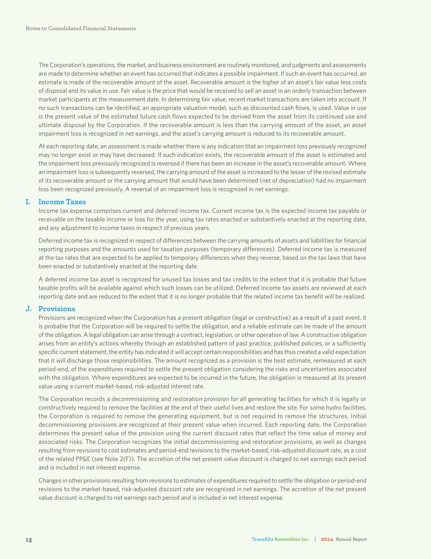The Corporation's operations, the market, and business environment are routinely monitored, and judgments and assessments are made to determine whether an event has occurred that indicates a possible impairment. If such an event has occurred, an estimate is made of the recoverable amount of the asset. Recoverable amount is the higher of an asset's fair value less costs of disposal and its value in use. Fair value is the price that would be received to sell an asset in an orderly transaction between market participants at the measurement date. In determining fair value, recent market transactions are taken into account. If no such transactions can be identified, an appropriate valuation model, such as discounted cash flows, is used. Value in use is the present value of the estimated future cash flows expected to be derived from the asset from its continued use and ultimate disposal by the Corporation. If the recoverable amount is less than the carrying amount of the asset, an asset impairment loss is recognized in net earnings, and the asset's carrying amount is reduced to its recoverable amount.

At each reporting date, an assessment is made whether there is any indication that an impairment loss previously recognized may no longer exist or may have decreased. If such indication exists, the recoverable amount of the asset is estimated and the impairment loss previously recognized is reversed if there has been an increase in the asset's recoverable amount. Where an impairment loss is subsequently reversed, the carrying amount of the asset is increased to the lesser of the revised estimate of its recoverable amount or the carrying amount that would have been determined (net of depreciation) had no impairment loss been recognized previously. A reversal of an impairment loss is recognized in net earnings.

#### **I. Income Taxes**

Income tax expense comprises current and deferred income tax. Current income tax is the expected income tax payable or receivable on the taxable income or loss for the year, using tax rates enacted or substantively enacted at the reporting date, and any adjustment to income taxes in respect of previous years.

Deferred income tax is recognized in respect of differences between the carrying amounts of assets and liabilities for financial reporting purposes and the amounts used for taxation purposes (temporary differences). Deferred income tax is measured at the tax rates that are expected to be applied to temporary differences when they reverse, based on the tax laws that have been enacted or substantively enacted at the reporting date.

A deferred income tax asset is recognized for unused tax losses and tax credits to the extent that it is probable that future taxable profits will be available against which such losses can be utilized. Deferred income tax assets are reviewed at each reporting date and are reduced to the extent that it is no longer probable that the related income tax benefit will be realized.

#### **J. Provisions**

Provisions are recognized when the Corporation has a present obligation (legal or constructive) as a result of a past event, it is probable that the Corporation will be required to settle the obligation, and a reliable estimate can be made of the amount of the obligation. A legal obligation can arise through a contract, legislation, or other operation of law. A constructive obligation arises from an entity's actions whereby through an established pattern of past practice, published policies, or a sufficiently specific current statement, the entity has indicated it will accept certain responsibilities and has thus created a valid expectation that it will discharge those responsibilities. The amount recognized as a provision is the best estimate, remeasured at each period-end, of the expenditures required to settle the present obligation considering the risks and uncertainties associated with the obligation. Where expenditures are expected to be incurred in the future, the obligation is measured at its present value using a current market-based, risk-adjusted interest rate.

The Corporation records a decommissioning and restoration provision for all generating facilities for which it is legally or constructively required to remove the facilities at the end of their useful lives and restore the site. For some hydro facilities, the Corporation is required to remove the generating equipment, but is not required to remove the structures. Initial decommissioning provisions are recognized at their present value when incurred. Each reporting date, the Corporation determines the present value of the provision using the current discount rates that reflect the time value of money and associated risks. The Corporation recognizes the initial decommissioning and restoration provisions, as well as changes resulting from revisions to cost estimates and period-end revisions to the market-based, risk-adjusted discount rate, as a cost of the related PP&E (see Note 2(F)). The accretion of the net present value discount is charged to net earnings each period and is included in net interest expense.

Changes in other provisions resulting from revisions to estimates of expenditures required to settle the obligation or period-end revisions to the market-based, risk-adjusted discount rate are recognized in net earnings. The accretion of the net present value discount is charged to net earnings each period and is included in net interest expense.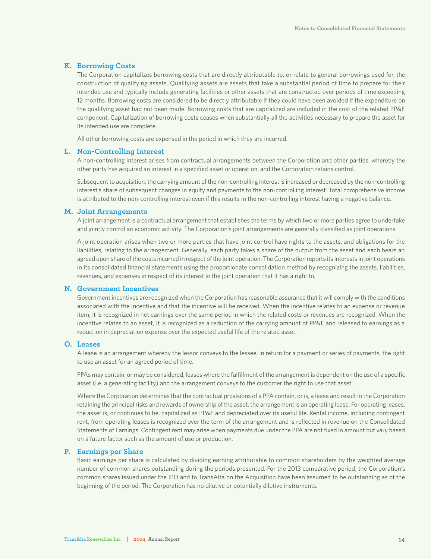#### **K. Borrowing Costs**

The Corporation capitalizes borrowing costs that are directly attributable to, or relate to general borrowings used for, the construction of qualifying assets. Qualifying assets are assets that take a substantial period of time to prepare for their intended use and typically include generating facilities or other assets that are constructed over periods of time exceeding 12 months. Borrowing costs are considered to be directly attributable if they could have been avoided if the expenditure on the qualifying asset had not been made. Borrowing costs that are capitalized are included in the cost of the related PP&E component. Capitalization of borrowing costs ceases when substantially all the activities necessary to prepare the asset for its intended use are complete.

All other borrowing costs are expensed in the period in which they are incurred.

#### **L. Non-Controlling Interest**

A non-controlling interest arises from contractual arrangements between the Corporation and other parties, whereby the other party has acquired an interest in a specified asset or operation, and the Corporation retains control.

Subsequent to acquisition, the carrying amount of the non-controlling interest is increased or decreased by the non-controlling interest's share of subsequent changes in equity and payments to the non-controlling interest. Total comprehensive income is attributed to the non-controlling interest even if this results in the non-controlling interest having a negative balance.

#### **M. Joint Arrangements**

A joint arrangement is a contractual arrangement that establishes the terms by which two or more parties agree to undertake and jointly control an economic activity. The Corporation's joint arrangements are generally classified as joint operations.

A joint operation arises when two or more parties that have joint control have rights to the assets, and obligations for the liabilities, relating to the arrangement. Generally, each party takes a share of the output from the asset and each bears an agreed upon share of the costs incurred in respect of the joint operation. The Corporation reports its interests in joint operations in its consolidated financial statements using the proportionate consolidation method by recognizing the assets, liabilities, revenues, and expenses in respect of its interest in the joint operation that it has a right to.

#### **N. Government Incentives**

Government incentives are recognized when the Corporation has reasonable assurance that it will comply with the conditions associated with the incentive and that the incentive will be received. When the incentive relates to an expense or revenue item, it is recognized in net earnings over the same period in which the related costs or revenues are recognized. When the incentive relates to an asset, it is recognized as a reduction of the carrying amount of PP&E and released to earnings as a reduction in depreciation expense over the expected useful life of the related asset.

#### **O. Leases**

A lease is an arrangement whereby the lessor conveys to the lessee, in return for a payment or series of payments, the right to use an asset for an agreed period of time.

PPAs may contain, or may be considered, leases where the fulfillment of the arrangement is dependent on the use of a specific asset (i.e. a generating facility) and the arrangement conveys to the customer the right to use that asset.

Where the Corporation determines that the contractual provisions of a PPA contain, or is, a lease and result in the Corporation retaining the principal risks and rewards of ownership of the asset, the arrangement is an operating lease. For operating leases, the asset is, or continues to be, capitalized as PP&E and depreciated over its useful life. Rental income, including contingent rent, from operating leases is recognized over the term of the arrangement and is reflected in revenue on the Consolidated Statements of Earnings. Contingent rent may arise when payments due under the PPA are not fixed in amount but vary based on a future factor such as the amount of use or production.

#### **P. Earnings per Share**

Basic earnings per share is calculated by dividing earning attributable to common shareholders by the weighted average number of common shares outstanding during the periods presented. For the 2013 comparative period, the Corporation's common shares issued under the IPO and to TransAlta on the Acquisition have been assumed to be outstanding as of the beginning of the period. The Corporation has no dilutive or potentially dilutive instruments.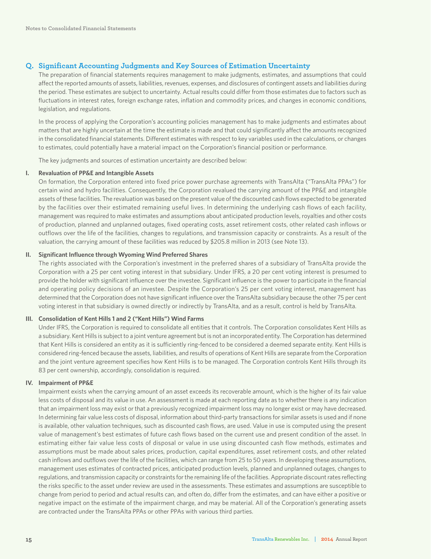#### **Q. Significant Accounting Judgments and Key Sources of Estimation Uncertainty**

The preparation of financial statements requires management to make judgments, estimates, and assumptions that could affect the reported amounts of assets, liabilities, revenues, expenses, and disclosures of contingent assets and liabilities during the period. These estimates are subject to uncertainty. Actual results could differ from those estimates due to factors such as fluctuations in interest rates, foreign exchange rates, inflation and commodity prices, and changes in economic conditions, legislation, and regulations.

In the process of applying the Corporation's accounting policies management has to make judgments and estimates about matters that are highly uncertain at the time the estimate is made and that could significantly affect the amounts recognized in the consolidated financial statements. Different estimates with respect to key variables used in the calculations, or changes to estimates, could potentially have a material impact on the Corporation's financial position or performance.

The key judgments and sources of estimation uncertainty are described below:

#### **I. Revaluation of PP&E and Intangible Assets**

On formation, the Corporation entered into fixed price power purchase agreements with TransAlta ("TransAlta PPAs") for certain wind and hydro facilities. Consequently, the Corporation revalued the carrying amount of the PP&E and intangible assets of these facilities. The revaluation was based on the present value of the discounted cash flows expected to be generated by the facilities over their estimated remaining useful lives. In determining the underlying cash flows of each facility, management was required to make estimates and assumptions about anticipated production levels, royalties and other costs of production, planned and unplanned outages, fixed operating costs, asset retirement costs, other related cash inflows or outflows over the life of the facilities, changes to regulations, and transmission capacity or constraints. As a result of the valuation, the carrying amount of these facilities was reduced by \$205.8 million in 2013 (see Note 13).

#### **II. Significant Influence through Wyoming Wind Preferred Shares**

The rights associated with the Corporation's investment in the preferred shares of a subsidiary of TransAlta provide the Corporation with a 25 per cent voting interest in that subsidiary. Under IFRS, a 20 per cent voting interest is presumed to provide the holder with significant influence over the investee. Significant influence is the power to participate in the financial and operating policy decisions of an investee. Despite the Corporation's 25 per cent voting interest, management has determined that the Corporation does not have significant influence over the TransAlta subsidiary because the other 75 per cent voting interest in that subsidiary is owned directly or indirectly by TransAlta, and as a result, control is held by TransAlta.

#### **III. Consolidation of Kent Hills 1 and 2 ("Kent Hills") Wind Farms**

Under IFRS, the Corporation is required to consolidate all entities that it controls. The Corporation consolidates Kent Hills as a subsidiary. Kent Hills is subject to a joint venture agreement but is not an incorporated entity. The Corporation has determined that Kent Hills is considered an entity as it is sufficiently ring-fenced to be considered a deemed separate entity. Kent Hills is considered ring-fenced because the assets, liabilities, and results of operations of Kent Hills are separate from the Corporation and the joint venture agreement specifies how Kent Hills is to be managed. The Corporation controls Kent Hills through its 83 per cent ownership, accordingly, consolidation is required.

#### **IV. Impairment of PP&E**

Impairment exists when the carrying amount of an asset exceeds its recoverable amount, which is the higher of its fair value less costs of disposal and its value in use. An assessment is made at each reporting date as to whether there is any indication that an impairment loss may exist or that a previously recognized impairment loss may no longer exist or may have decreased. In determining fair value less costs of disposal, information about third-party transactions for similar assets is used and if none is available, other valuation techniques, such as discounted cash flows, are used. Value in use is computed using the present value of management's best estimates of future cash flows based on the current use and present condition of the asset. In estimating either fair value less costs of disposal or value in use using discounted cash flow methods, estimates and assumptions must be made about sales prices, production, capital expenditures, asset retirement costs, and other related cash inflows and outflows over the life of the facilities, which can range from 25 to 50 years. In developing these assumptions, management uses estimates of contracted prices, anticipated production levels, planned and unplanned outages, changes to regulations, and transmission capacity or constraints for the remaining life of the facilities. Appropriate discount rates reflecting the risks specific to the asset under review are used in the assessments. These estimates and assumptions are susceptible to change from period to period and actual results can, and often do, differ from the estimates, and can have either a positive or negative impact on the estimate of the impairment charge, and may be material. All of the Corporation's generating assets are contracted under the TransAlta PPAs or other PPAs with various third parties.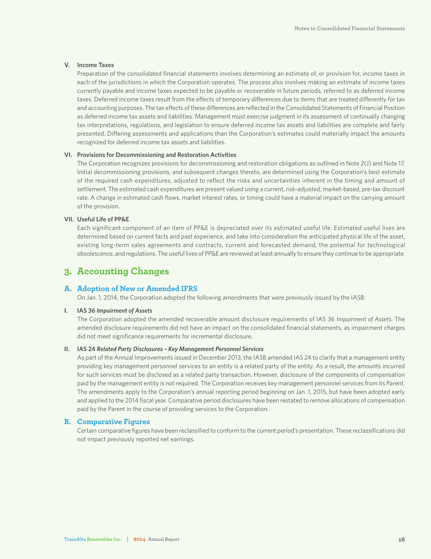#### **V. Income Taxes**

Preparation of the consolidated financial statements involves determining an estimate of, or provision for, income taxes in each of the jurisdictions in which the Corporation operates. The process also involves making an estimate of income taxes currently payable and income taxes expected to be payable or recoverable in future periods, referred to as deferred income taxes. Deferred income taxes result from the effects of temporary differences due to items that are treated differently for tax and accounting purposes. The tax effects of these differences are reflected in the Consolidated Statements of Financial Position as deferred income tax assets and liabilities. Management must exercise judgment in its assessment of continually changing tax interpretations, regulations, and legislation to ensure deferred income tax assets and liabilities are complete and fairly presented. Differing assessments and applications than the Corporation's estimates could materially impact the amounts recognized for deferred income tax assets and liabilities.

#### **VI. Provisions for Decommissioning and Restoration Activities**

The Corporation recognizes provisions for decommissioning and restoration obligations as outlined in Note 2(J) and Note 17. Initial decommissioning provisions, and subsequent changes thereto, are determined using the Corporation's best estimate of the required cash expenditures, adjusted to reflect the risks and uncertainties inherent in the timing and amount of settlement. The estimated cash expenditures are present valued using a current, risk-adjusted, market-based, pre-tax discount rate. A change in estimated cash flows, market interest rates, or timing could have a material impact on the carrying amount of the provision.

#### **VII. Useful Life of PP&E**

Each significant component of an item of PP&E is depreciated over its estimated useful life. Estimated useful lives are determined based on current facts and past experience, and take into consideration the anticipated physical life of the asset, existing long-term sales agreements and contracts, current and forecasted demand, the potential for technological obsolescence, and regulations. The useful lives of PP&E are reviewed at least annually to ensure they continue to be appropriate.

### **3. Accounting Changes**

#### **A. Adoption of New or Amended IFRS**

On Jan. 1, 2014, the Corporation adopted the following amendments that were previously issued by the IASB:

#### **I. IAS 36** *Impairment of Assets*

The Corporation adopted the amended recoverable amount disclosure requirements of IAS 36 *Impairment of Assets*. The amended disclosure requirements did not have an impact on the consolidated financial statements, as impairment charges did not meet significance requirements for incremental disclosure.

#### **II. IAS 24** *Related Party Disclosures – Key Management Personnel Services*

As part of the Annual Improvements issued in December 2013, the IASB amended IAS 24 to clarify that a management entity providing key management personnel services to an entity is a related party of the entity. As a result, the amounts incurred for such services must be disclosed as a related party transaction. However, disclosure of the components of compensation paid by the management entity is not required. The Corporation receives key management personnel services from its Parent. The amendments apply to the Corporation's annual reporting period beginning on Jan. 1, 2015, but have been adopted early and applied to the 2014 fiscal year. Comparative period disclosures have been restated to remove allocations of compensation paid by the Parent in the course of providing services to the Corporation.

#### **B. Comparative Figures**

Certain comparative figures have been reclassified to conform to the current period's presentation. These reclassifications did not impact previously reported net earnings.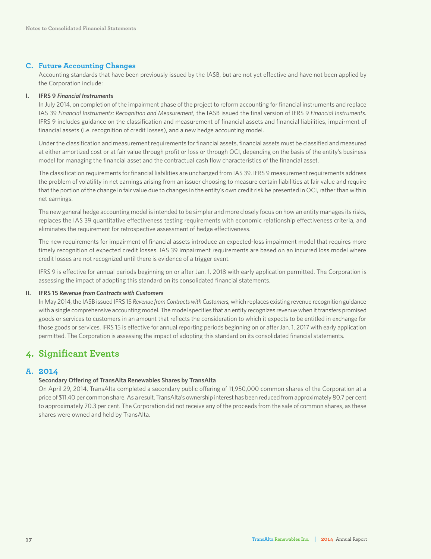#### **C. Future Accounting Changes**

Accounting standards that have been previously issued by the IASB, but are not yet effective and have not been applied by the Corporation include:

#### **I. IFRS 9** *Financial Instruments*

In July 2014, on completion of the impairment phase of the project to reform accounting for financial instruments and replace IAS 39 *Financial Instruments: Recognition and Measurement*, the IASB issued the final version of IFRS 9 *Financial Instruments*. IFRS 9 includes guidance on the classification and measurement of financial assets and financial liabilities, impairment of financial assets (i.e. recognition of credit losses), and a new hedge accounting model.

Under the classification and measurement requirements for financial assets, financial assets must be classified and measured at either amortized cost or at fair value through profit or loss or through OCI, depending on the basis of the entity's business model for managing the financial asset and the contractual cash flow characteristics of the financial asset.

The classification requirements for financial liabilities are unchanged from IAS 39. IFRS 9 measurement requirements address the problem of volatility in net earnings arising from an issuer choosing to measure certain liabilities at fair value and require that the portion of the change in fair value due to changes in the entity's own credit risk be presented in OCI, rather than within net earnings.

The new general hedge accounting model is intended to be simpler and more closely focus on how an entity manages its risks, replaces the IAS 39 quantitative effectiveness testing requirements with economic relationship effectiveness criteria, and eliminates the requirement for retrospective assessment of hedge effectiveness.

The new requirements for impairment of financial assets introduce an expected-loss impairment model that requires more timely recognition of expected credit losses. IAS 39 impairment requirements are based on an incurred loss model where credit losses are not recognized until there is evidence of a trigger event.

IFRS 9 is effective for annual periods beginning on or after Jan. 1, 2018 with early application permitted. The Corporation is assessing the impact of adopting this standard on its consolidated financial statements.

#### **II. IFRS 15** *Revenue from Contracts with Customers*

In May 2014, the IASB issued IFRS 15 *Revenue from Contracts with Customers,* which replaces existing revenue recognition guidance with a single comprehensive accounting model. The model specifies that an entity recognizes revenue when it transfers promised goods or services to customers in an amount that reflects the consideration to which it expects to be entitled in exchange for those goods or services. IFRS 15 is effective for annual reporting periods beginning on or after Jan. 1, 2017 with early application permitted. The Corporation is assessing the impact of adopting this standard on its consolidated financial statements.

### **4. Significant Events**

#### **A. 2014**

#### **Secondary Offering of TransAlta Renewables Shares by TransAlta**

On April 29, 2014, TransAlta completed a secondary public offering of 11,950,000 common shares of the Corporation at a price of \$11.40 per common share. As a result, TransAlta's ownership interest has been reduced from approximately 80.7 per cent to approximately 70.3 per cent. The Corporation did not receive any of the proceeds from the sale of common shares, as these shares were owned and held by TransAlta.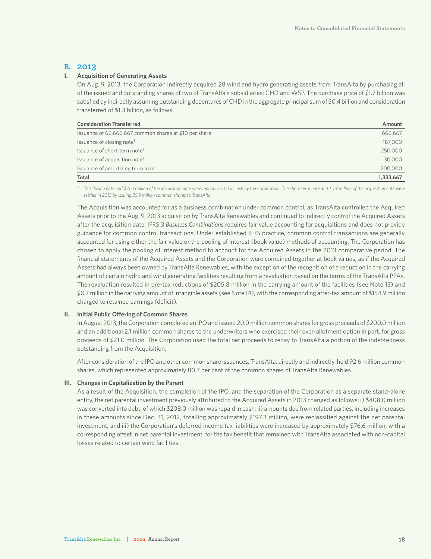#### **B. 2013**

#### **I. Acquisition of Generating Assets**

On Aug. 9, 2013, the Corporation indirectly acquired 28 wind and hydro generating assets from TransAlta by purchasing all of the issued and outstanding shares of two of TransAlta's subsidiaries: CHD and WSP. The purchase price of \$1.7 billion was satisfied by indirectly assuming outstanding debentures of CHD in the aggregate principal sum of \$0.4 billion and consideration transferred of \$1.3 billion, as follows:

| <b>Consideration Transferred</b>                       | Amount    |
|--------------------------------------------------------|-----------|
| Issuance of 66,666,667 common shares at \$10 per share | 666,667   |
| Issuance of closing note <sup>1</sup>                  | 187,000   |
| Issuance of short-term note <sup>1</sup>               | 250,000   |
| Issuance of acquisition note <sup>1</sup>              | 30,000    |
| Issuance of amortizing term loan                       | 200,000   |
| Total                                                  | 1,333,667 |

1 The closing note and \$21.0 million of the acquisition note were repaid in 2013 in cash by the Corporation. The short-term note and \$0.9 million of the acquisition note were *settled in 2013 by issuing 25.9 million common shares to TransAlta.*

The Acquisition was accounted for as a business combination under common control, as TransAlta controlled the Acquired Assets prior to the Aug. 9, 2013 acquisition by TransAlta Renewables and continued to indirectly control the Acquired Assets after the acquisition date. IFRS 3 *Business Combinations* requires fair value accounting for acquisitions and does not provide guidance for common control transactions. Under established IFRS practice, common control transactions are generally accounted for using either the fair value or the pooling of interest (book value) methods of accounting. The Corporation has chosen to apply the pooling of interest method to account for the Acquired Assets in the 2013 comparative period. The financial statements of the Acquired Assets and the Corporation were combined together at book values, as if the Acquired Assets had always been owned by TransAlta Renewables, with the exception of the recognition of a reduction in the carrying amount of certain hydro and wind generating facilities resulting from a revaluation based on the terms of the TransAlta PPAs. The revaluation resulted in pre-tax reductions of \$205.8 million in the carrying amount of the facilities (see Note 13) and \$0.7 million in the carrying amount of intangible assets (see Note 14), with the corresponding after-tax amount of \$154.9 million charged to retained earnings (deficit).

#### **II. Initial Public Offering of Common Shares**

In August 2013, the Corporation completed an IPO and issued 20.0 million common shares for gross proceeds of \$200.0 million and an additional 2.1 million common shares to the underwriters who exercised their over-allotment option in part, for gross proceeds of \$21.0 million. The Corporation used the total net proceeds to repay to TransAlta a portion of the indebtedness outstanding from the Acquisition.

After consideration of the IPO and other common share issuances, TransAlta, directly and indirectly, held 92.6 million common shares, which represented approximately 80.7 per cent of the common shares of TransAlta Renewables.

#### **III. Changes in Capitalization by the Parent**

As a result of the Acquisition, the completion of the IPO, and the separation of the Corporation as a separate stand-alone entity, the net parental investment previously attributed to the Acquired Assets in 2013 changed as follows: i) \$408.0 million was converted into debt, of which \$208.0 million was repaid in cash; ii) amounts due from related parties, including increases in these amounts since Dec. 31, 2012, totalling approximately \$197.3 million, were reclassified against the net parental investment; and iii) the Corporation's deferred income tax liabilities were increased by approximately \$76.6 million, with a corresponding offset in net parental investment, for the tax benefit that remained with TransAlta associated with non-capital losses related to certain wind facilities.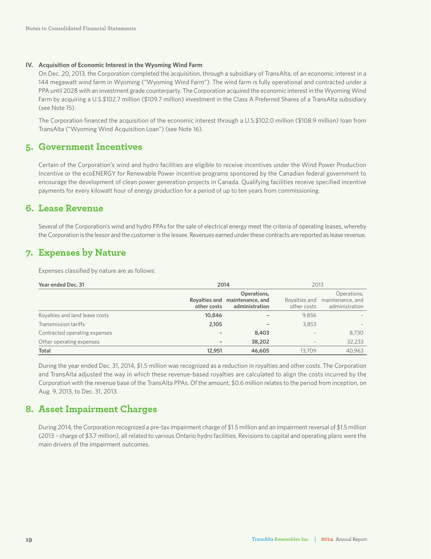#### **IV. Acquisition of Economic Interest in the Wyoming Wind Farm**

On Dec. 20, 2013, the Corporation completed the acquisition, through a subsidiary of TransAlta, of an economic interest in a 144 megawatt wind farm in Wyoming ("Wyoming Wind Farm"). The wind farm is fully operational and contracted under a PPA until 2028 with an investment grade counterparty. The Corporation acquired the economic interest in the Wyoming Wind Farm by acquiring a U.S.\$102.7 million (\$109.7 million) investment in the Class A Preferred Shares of a TransAlta subsidiary (see Note 15).

The Corporation financed the acquisition of the economic interest through a U.S.\$102.0 million (\$108.9 million) loan from TransAlta ("Wyoming Wind Acquisition Loan") (see Note 16).

### **5. Government Incentives**

Certain of the Corporation's wind and hydro facilities are eligible to receive incentives under the Wind Power Production Incentive or the ecoENERGY for Renewable Power incentive programs sponsored by the Canadian federal government to encourage the development of clean power generation projects in Canada. Qualifying facilities receive specified incentive payments for every kilowatt hour of energy production for a period of up to ten years from commissioning.

### **6. Lease Revenue**

Several of the Corporation's wind and hydro PPAs for the sale of electrical energy meet the criteria of operating leases, whereby the Corporation is the lessor and the customer is the lessee. Revenues earned under these contracts are reported as lease revenue.

### **7. Expenses by Nature**

Expenses classified by nature are as follows:

| Year ended Dec. 31             |             | 2014<br>2013                                                    |                              |                                                   |
|--------------------------------|-------------|-----------------------------------------------------------------|------------------------------|---------------------------------------------------|
|                                | other costs | Operations,<br>Royalties and maintenance, and<br>administration | Royalties and<br>other costs | Operations,<br>maintenance, and<br>administration |
| Royalties and land lease costs | 10,846      | ٠                                                               | 9,856                        |                                                   |
| Transmission tariffs           | 2,105       | $\overline{\phantom{a}}$                                        | 3,853                        |                                                   |
| Contracted operating expenses  |             | 8,403                                                           | $\overline{\phantom{a}}$     | 8,730                                             |
| Other operating expenses       |             | 38,202                                                          | $\overline{\phantom{a}}$     | 32,233                                            |
| Total                          | 12,951      | 46,605                                                          | 13.709                       | 40.963                                            |

During the year ended Dec. 31, 2014, \$1.5 million was recognized as a reduction in royalties and other costs. The Corporation and TransAlta adjusted the way in which these revenue-based royalties are calculated to align the costs incurred by the Corporation with the revenue base of the TransAlta PPAs. Of the amount, \$0.6 million relates to the period from inception, on Aug. 9, 2013, to Dec. 31, 2013.

### **8. Asset Impairment Charges**

During 2014, the Corporation recognized a pre-tax impairment charge of \$1.5 million and an impairment reversal of \$1.5 million (2013 – charge of \$3.7 million), all related to various Ontario hydro facilities. Revisions to capital and operating plans were the main drivers of the impairment outcomes.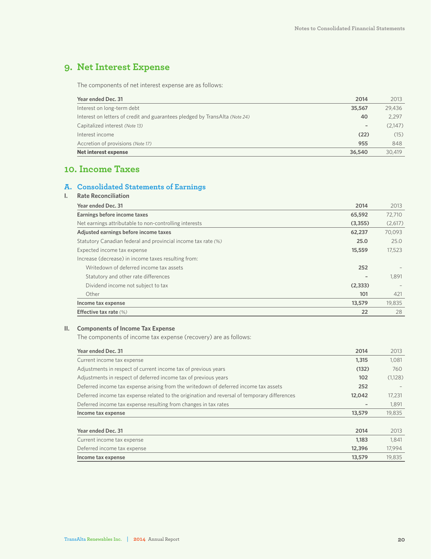### **9. Net Interest Expense**

The components of net interest expense are as follows:

| Interest on long-term debt<br>35,567<br>Interest on letters of credit and guarantees pledged by TransAlta (Note 24)<br>40<br>Capitalized interest (Note 13)<br>$\qquad \qquad =\qquad \qquad$<br>(22)<br>Interest income | 29,436  |
|--------------------------------------------------------------------------------------------------------------------------------------------------------------------------------------------------------------------------|---------|
|                                                                                                                                                                                                                          |         |
|                                                                                                                                                                                                                          | 2,297   |
|                                                                                                                                                                                                                          | (2.147) |
|                                                                                                                                                                                                                          | (15)    |
| Accretion of provisions (Note 17)<br>955                                                                                                                                                                                 | 848     |
| <b>Net interest expense</b><br>36,540                                                                                                                                                                                    | 30.419  |

### **10. Income Taxes**

### **A. Consolidated Statements of Earnings**

| <b>Rate Reconciliation</b>                                    |                 |         |
|---------------------------------------------------------------|-----------------|---------|
| Year ended Dec. 31                                            | 2014            | 2013    |
| Earnings before income taxes                                  | 65,592          | 72,710  |
| Net earnings attributable to non-controlling interests        | (3,355)         | (2,617) |
| Adjusted earnings before income taxes                         | 62,237          | 70,093  |
| Statutory Canadian federal and provincial income tax rate (%) | 25.0            | 25.0    |
| Expected income tax expense                                   | 15,559          | 17,523  |
| Increase (decrease) in income taxes resulting from:           |                 |         |
| Writedown of deferred income tax assets                       | 252             |         |
| Statutory and other rate differences                          | $\qquad \qquad$ | 1,891   |
| Dividend income not subject to tax                            | (2, 333)        |         |
| Other                                                         | 101             | 421     |
| Income tax expense                                            | 13,579          | 19,835  |
| Effective tax rate (%)                                        | 22              | 28      |

#### **II. Components of Income Tax Expense**

The components of income tax expense (recovery) are as follows:

| Year ended Dec. 31                                                                           | 2014   | 2013    |
|----------------------------------------------------------------------------------------------|--------|---------|
| Current income tax expense                                                                   | 1,315  | 1,081   |
| Adjustments in respect of current income tax of previous years                               | (132)  | 760     |
| Adjustments in respect of deferred income tax of previous years                              | 102    | (1,128) |
| Deferred income tax expense arising from the writedown of deferred income tax assets         | 252    |         |
| Deferred income tax expense related to the origination and reversal of temporary differences | 12,042 | 17,231  |
| Deferred income tax expense resulting from changes in tax rates                              |        | 1,891   |
| Income tax expense                                                                           | 13,579 | 19,835  |
|                                                                                              |        |         |
| Year ended Dec. 31                                                                           | 2014   | 2013    |
| Current income tax expense                                                                   | 1.183  | 1,841   |
| Deferred income tax expense                                                                  | 12,396 | 17,994  |
| Income tax expense                                                                           | 13,579 | 19.835  |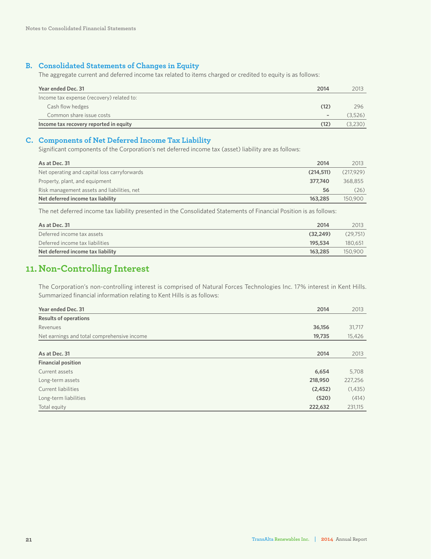#### **B. Consolidated Statements of Changes in Equity**

The aggregate current and deferred income tax related to items charged or credited to equity is as follows:

| Year ended Dec. 31                        | 2014 | 2013    |
|-------------------------------------------|------|---------|
| Income tax expense (recovery) related to: |      |         |
| Cash flow hedges                          | (12) | 296     |
| Common share issue costs                  |      | (3.526) |
| Income tax recovery reported in equity    | (12) | (3.230) |

#### **C. Components of Net Deferred Income Tax Liability**

Significant components of the Corporation's net deferred income tax (asset) liability are as follows:

| As at Dec. 31                                | 2014      | 2013      |
|----------------------------------------------|-----------|-----------|
| Net operating and capital loss carryforwards | (214.511) | (217.929) |
| Property, plant, and equipment               | 377.740   | 368.855   |
| Risk management assets and liabilities, net  | 56        | (26)      |
| Net deferred income tax liability            | 163,285   | 150,900   |

The net deferred income tax liability presented in the Consolidated Statements of Financial Position is as follows:

| As at Dec. 31                     | 2014     | 2013     |
|-----------------------------------|----------|----------|
| Deferred income tax assets        | (32.249) | (29.751) |
| Deferred income tax liabilities   | 195.534  | 180.651  |
| Net deferred income tax liability | 163.285  | 150,900  |

### **11. Non-Controlling Interest**

The Corporation's non-controlling interest is comprised of Natural Forces Technologies Inc. 17% interest in Kent Hills. Summarized financial information relating to Kent Hills is as follows:

| Year ended Dec. 31                          | 2014    | 2013    |
|---------------------------------------------|---------|---------|
| <b>Results of operations</b>                |         |         |
| Revenues                                    | 36,156  | 31,717  |
| Net earnings and total comprehensive income | 19,735  | 15,426  |
|                                             |         |         |
| As at Dec. 31                               | 2014    | 2013    |
| <b>Financial position</b>                   |         |         |
| Current assets                              | 6,654   | 5,708   |
| Long-term assets                            | 218,950 | 227,256 |
| Current liabilities                         | (2,452) | (1,435) |
| Long-term liabilities                       | (520)   | (414)   |
| Total equity                                | 222,632 | 231,115 |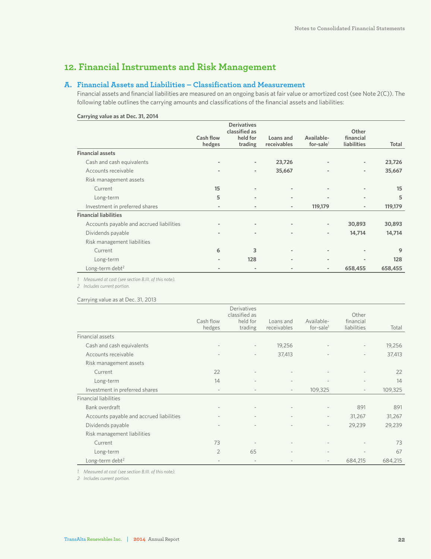### **12. Financial Instruments and Risk Management**

#### **A. Financial Assets and Liabilities – Classification and Measurement**

Financial assets and financial liabilities are measured on an ongoing basis at fair value or amortized cost (see Note 2(C)). The following table outlines the carrying amounts and classifications of the financial assets and liabilities:

|                                          |                          | <b>Derivatives</b><br>classified as |                          |                            | Other                    |              |
|------------------------------------------|--------------------------|-------------------------------------|--------------------------|----------------------------|--------------------------|--------------|
|                                          | Cash flow<br>hedges      | held for<br>trading                 | Loans and<br>receivables | Available-<br>for-sale $1$ | financial<br>liabilities | <b>Total</b> |
| <b>Financial assets</b>                  |                          |                                     |                          |                            |                          |              |
| Cash and cash equivalents                | $\overline{\phantom{a}}$ | $\overline{\phantom{a}}$            | 23,726                   | $\blacksquare$             | $\overline{\phantom{a}}$ | 23,726       |
| Accounts receivable                      | $\overline{\phantom{a}}$ | $\overline{\phantom{a}}$            | 35,667                   |                            | $\overline{\phantom{a}}$ | 35,667       |
| Risk management assets                   |                          |                                     |                          |                            |                          |              |
| Current                                  | 15                       |                                     |                          | $\blacksquare$             |                          | 15           |
| Long-term                                | 5                        |                                     | $\overline{a}$           |                            | $\overline{\phantom{a}}$ | 5            |
| Investment in preferred shares           | $\overline{\phantom{a}}$ | $\blacksquare$                      | $\overline{\phantom{a}}$ | 119,179                    | $\overline{\phantom{a}}$ | 119,179      |
| <b>Financial liabilities</b>             |                          |                                     |                          |                            |                          |              |
| Accounts payable and accrued liabilities | $\overline{\phantom{a}}$ |                                     |                          | $\blacksquare$             | 30,893                   | 30,893       |
| Dividends payable                        | $\blacksquare$           | $\overline{\phantom{a}}$            | $\overline{\phantom{a}}$ | $\overline{\phantom{a}}$   | 14,714                   | 14,714       |
| Risk management liabilities              |                          |                                     |                          |                            |                          |              |
| Current                                  | 6                        | 3                                   | $\overline{\phantom{0}}$ | $\blacksquare$             |                          | 9            |
| Long-term                                |                          | 128                                 |                          |                            |                          | 128          |
| Long-term debt <sup>2</sup>              | $\overline{\phantom{a}}$ |                                     |                          | $\overline{\phantom{a}}$   | 658,455                  | 658,455      |

#### **Carrying value as at Dec. 31, 2014**

*1 Measured at cost (see section B.III. of this note).*

*2 Includes current portion.*

#### Carrying value as at Dec. 31, 2013

|                                          |                          | Derivatives<br>classified as |                          |                            | Other                    |         |
|------------------------------------------|--------------------------|------------------------------|--------------------------|----------------------------|--------------------------|---------|
|                                          | Cash flow<br>hedges      | held for<br>trading          | Loans and<br>receivables | Available-<br>for-sale $1$ | financial<br>liabilities | Total   |
| Financial assets                         |                          |                              |                          |                            |                          |         |
| Cash and cash equivalents                | $\overline{\phantom{a}}$ | $\overline{\phantom{a}}$     | 19,256                   | $\overline{\phantom{a}}$   | $\overline{\phantom{a}}$ | 19,256  |
| Accounts receivable                      |                          |                              | 37,413                   |                            | $\overline{\phantom{a}}$ | 37,413  |
| Risk management assets                   |                          |                              |                          |                            |                          |         |
| Current                                  | 22                       |                              |                          |                            |                          | 22      |
| Long-term                                | 14                       |                              |                          |                            | $\overline{\phantom{a}}$ | 14      |
| Investment in preferred shares           | $\overline{\phantom{a}}$ | $\overline{\phantom{a}}$     | $\overline{\phantom{a}}$ | 109,325                    | $\overline{\phantom{a}}$ | 109,325 |
| <b>Financial liabilities</b>             |                          |                              |                          |                            |                          |         |
| Bank overdraft                           | $\overline{\phantom{a}}$ | $\overline{\phantom{a}}$     | $\overline{\phantom{a}}$ | $\overline{\phantom{a}}$   | 891                      | 891     |
| Accounts payable and accrued liabilities | $\overline{\phantom{a}}$ |                              | $\overline{\phantom{a}}$ | $\overline{\phantom{a}}$   | 31,267                   | 31,267  |
| Dividends payable                        |                          |                              |                          | $\overline{\phantom{a}}$   | 29,239                   | 29,239  |
| Risk management liabilities              |                          |                              |                          |                            |                          |         |
| Current                                  | 73                       |                              |                          |                            |                          | 73      |
| Long-term                                | $\overline{2}$           | 65                           |                          | $\overline{\phantom{a}}$   | $\overline{\phantom{a}}$ | 67      |
| Long-term debt <sup>2</sup>              |                          |                              |                          | $\overline{\phantom{a}}$   | 684,215                  | 684,215 |

*1 Measured at cost (see section B.III. of this note).*

*2 Includes current portion.*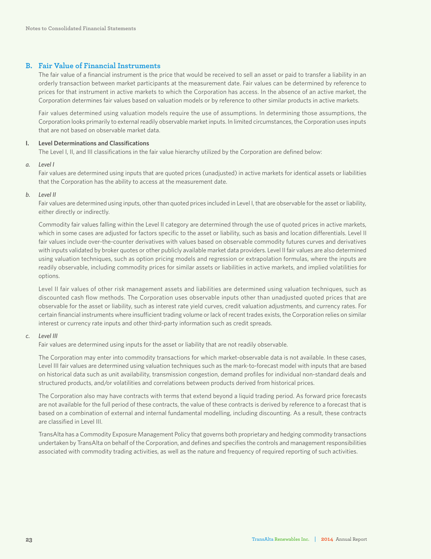#### **B. Fair Value of Financial Instruments**

The fair value of a financial instrument is the price that would be received to sell an asset or paid to transfer a liability in an orderly transaction between market participants at the measurement date. Fair values can be determined by reference to prices for that instrument in active markets to which the Corporation has access. In the absence of an active market, the Corporation determines fair values based on valuation models or by reference to other similar products in active markets.

Fair values determined using valuation models require the use of assumptions. In determining those assumptions, the Corporation looks primarily to external readily observable market inputs. In limited circumstances, the Corporation uses inputs that are not based on observable market data.

#### **I. Level Determinations and Classifications**

The Level I, II, and III classifications in the fair value hierarchy utilized by the Corporation are defined below:

#### *a. Level I*

Fair values are determined using inputs that are quoted prices (unadjusted) in active markets for identical assets or liabilities that the Corporation has the ability to access at the measurement date.

#### *b. Level II*

Fair values are determined using inputs, other than quoted prices included in Level I, that are observable for the asset or liability, either directly or indirectly.

Commodity fair values falling within the Level II category are determined through the use of quoted prices in active markets, which in some cases are adjusted for factors specific to the asset or liability, such as basis and location differentials. Level II fair values include over-the-counter derivatives with values based on observable commodity futures curves and derivatives with inputs validated by broker quotes or other publicly available market data providers. Level II fair values are also determined using valuation techniques, such as option pricing models and regression or extrapolation formulas, where the inputs are readily observable, including commodity prices for similar assets or liabilities in active markets, and implied volatilities for options.

Level II fair values of other risk management assets and liabilities are determined using valuation techniques, such as discounted cash flow methods. The Corporation uses observable inputs other than unadjusted quoted prices that are observable for the asset or liability, such as interest rate yield curves, credit valuation adjustments, and currency rates. For certain financial instruments where insufficient trading volume or lack of recent trades exists, the Corporation relies on similar interest or currency rate inputs and other third-party information such as credit spreads.

#### *c. Level III*

Fair values are determined using inputs for the asset or liability that are not readily observable.

The Corporation may enter into commodity transactions for which market-observable data is not available. In these cases, Level III fair values are determined using valuation techniques such as the mark-to-forecast model with inputs that are based on historical data such as unit availability, transmission congestion, demand profiles for individual non-standard deals and structured products, and/or volatilities and correlations between products derived from historical prices.

The Corporation also may have contracts with terms that extend beyond a liquid trading period. As forward price forecasts are not available for the full period of these contracts, the value of these contracts is derived by reference to a forecast that is based on a combination of external and internal fundamental modelling, including discounting. As a result, these contracts are classified in Level III.

TransAlta has a Commodity Exposure Management Policy that governs both proprietary and hedging commodity transactions undertaken by TransAlta on behalf of the Corporation, and defines and specifies the controls and management responsibilities associated with commodity trading activities, as well as the nature and frequency of required reporting of such activities.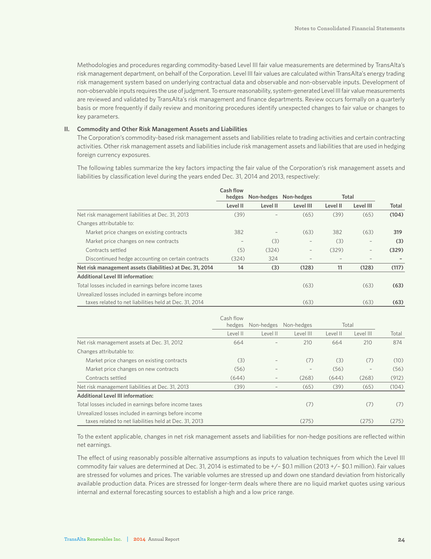Methodologies and procedures regarding commodity-based Level III fair value measurements are determined by TransAlta's risk management department, on behalf of the Corporation. Level III fair values are calculated within TransAlta's energy trading risk management system based on underlying contractual data and observable and non-observable inputs. Development of non-observable inputs requires the use of judgment. To ensure reasonability, system-generated Level III fair value measurements are reviewed and validated by TransAlta's risk management and finance departments. Review occurs formally on a quarterly basis or more frequently if daily review and monitoring procedures identify unexpected changes to fair value or changes to key parameters.

#### **II. Commodity and Other Risk Management Assets and Liabilities**

The Corporation's commodity-based risk management assets and liabilities relate to trading activities and certain contracting activities. Other risk management assets and liabilities include risk management assets and liabilities that are used in hedging foreign currency exposures.

The following tables summarize the key factors impacting the fair value of the Corporation's risk management assets and liabilities by classification level during the years ended Dec. 31, 2014 and 2013, respectively:

|                                                           | Cash flow                       |                          |                   |              |           |       |
|-----------------------------------------------------------|---------------------------------|--------------------------|-------------------|--------------|-----------|-------|
|                                                           | hedges<br>Non-hedges Non-hedges |                          |                   | <b>Total</b> |           |       |
|                                                           | Level II                        | Level II                 | Level III         | Level II     | Level III | Total |
| Net risk management liabilities at Dec. 31, 2013          | (39)                            |                          | (65)              | (39)         | (65)      | (104) |
| Changes attributable to:                                  |                                 |                          |                   |              |           |       |
| Market price changes on existing contracts                | 382                             | $\overline{\phantom{a}}$ | (63)              | 382          | (63)      | 319   |
| Market price changes on new contracts                     |                                 | (3)                      | $\qquad \qquad -$ | (3)          |           | (3)   |
| Contracts settled                                         | (5)                             | (324)                    | $\qquad \qquad -$ | (329)        | -         | (329) |
| Discontinued hedge accounting on certain contracts        | (324)                           | 324                      |                   |              |           |       |
| Net risk management assets (liabilities) at Dec. 31, 2014 | 14                              | (3)                      | (128)             | 11           | (128)     | (117) |
| <b>Additional Level III information:</b>                  |                                 |                          |                   |              |           |       |
| Total losses included in earnings before income taxes     |                                 |                          | (63)              |              | (63)      | (63)  |
| Unrealized losses included in earnings before income      |                                 |                          |                   |              |           |       |
| taxes related to net liabilities held at Dec. 31, 2014    |                                 |                          | (63)              |              | (63)      | (63)  |

|                                                        | Cash flow |                   |                   |          |           |       |
|--------------------------------------------------------|-----------|-------------------|-------------------|----------|-----------|-------|
|                                                        | hedges    | Non-hedges        | Non-hedges        |          | Total     |       |
|                                                        | Level II  | Level II          | Level III         | Level II | Level III | Total |
| Net risk management assets at Dec. 31, 2012            | 664       |                   | 210               | 664      | 210       | 874   |
| Changes attributable to:                               |           |                   |                   |          |           |       |
| Market price changes on existing contracts             | (3)       |                   | (7)               | (3)      | (7)       | (10)  |
| Market price changes on new contracts                  | (56)      |                   | $\qquad \qquad -$ | (56)     |           | (56)  |
| Contracts settled                                      | (644)     | $\qquad \qquad -$ | (268)             | (644)    | (268)     | (912) |
| Net risk management liabilities at Dec. 31, 2013       | (39)      |                   | (65)              | (39)     | (65)      | (104) |
| <b>Additional Level III information:</b>               |           |                   |                   |          |           |       |
| Total losses included in earnings before income taxes  |           |                   | (7)               |          | (7)       | (7)   |
| Unrealized losses included in earnings before income   |           |                   |                   |          |           |       |
| taxes related to net liabilities held at Dec. 31, 2013 |           |                   | (275)             |          | (275)     | (275) |

To the extent applicable, changes in net risk management assets and liabilities for non-hedge positions are reflected within net earnings.

The effect of using reasonably possible alternative assumptions as inputs to valuation techniques from which the Level III commodity fair values are determined at Dec. 31, 2014 is estimated to be +/– \$0.1 million (2013 +/– \$0.1 million). Fair values are stressed for volumes and prices. The variable volumes are stressed up and down one standard deviation from historically available production data. Prices are stressed for longer-term deals where there are no liquid market quotes using various internal and external forecasting sources to establish a high and a low price range.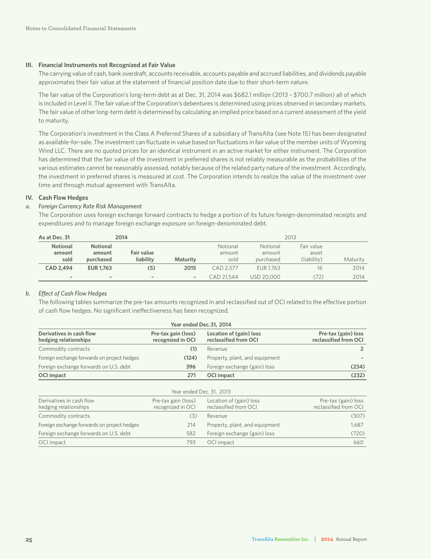#### **III. Financial Instruments not Recognized at Fair Value**

The carrying value of cash, bank overdraft, accounts receivable, accounts payable and accrued liabilities, and dividends payable approximates their fair value at the statement of financial position date due to their short-term nature.

The fair value of the Corporation's long-term debt as at Dec. 31, 2014 was \$682.1 million (2013 – \$700.7 million) all of which is included in Level II. The fair value of the Corporation's debentures is determined using prices observed in secondary markets. The fair value of other long-term debt is determined by calculating an implied price based on a current assessment of the yield to maturity.

The Corporation's investment in the Class A Preferred Shares of a subsidiary of TransAlta (see Note 15) has been designated as available-for-sale. The investment can fluctuate in value based on fluctuations in fair value of the member units of Wyoming Wind LLC. There are no quoted prices for an identical instrument in an active market for either instrument. The Corporation has determined that the fair value of the investment in preferred shares is not reliably measurable as the probabilities of the various estimates cannot be reasonably assessed, notably because of the related party nature of the investment. Accordingly, the investment in preferred shares is measured at cost. The Corporation intends to realize the value of the investment over time and through mutual agreement with TransAlta.

#### **IV. Cash Flow Hedges**

#### *a. Foreign Currency Rate Risk Management*

The Corporation uses foreign exchange forward contracts to hedge a portion of its future foreign-denominated receipts and expenditures and to manage foreign exchange exposure on foreign-denominated debt.

| As at Dec. 31                     |                                        | 2014                     |                          | 2013                       |                                 |                                    |          |
|-----------------------------------|----------------------------------------|--------------------------|--------------------------|----------------------------|---------------------------------|------------------------------------|----------|
| <b>Notional</b><br>amount<br>sold | <b>Notional</b><br>amount<br>purchased | Fair value<br>liability  | <b>Maturity</b>          | Notional<br>amount<br>sold | Notional<br>amount<br>purchased | Fair value<br>asset<br>(liability) | Maturity |
| CAD 2.494                         | <b>EUR 1.763</b>                       | (5)                      | 2015                     | CAD 2.577                  | EUR 1.763                       | 16                                 | 2014     |
| $\overline{\phantom{a}}$          | $\overline{\phantom{a}}$               | $\overline{\phantom{a}}$ | $\overline{\phantom{a}}$ | CAD 21.544                 | USD 20,000                      | (72)                               | 2014     |

#### *b. Effect of Cash Flow Hedges*

The following tables summarize the pre-tax amounts recognized in and reclassified out of OCI related to the effective portion of cash flow hedges. No significant ineffectiveness has been recognized.

| Year ended Dec. 31, 2014                          |                                          |                                                  |                                              |  |  |  |
|---------------------------------------------------|------------------------------------------|--------------------------------------------------|----------------------------------------------|--|--|--|
| Derivatives in cash flow<br>hedging relationships | Pre-tax gain (loss)<br>recognized in OCI | Location of (gain) loss<br>reclassified from OCI | Pre-tax (gain) loss<br>reclassified from OCI |  |  |  |
| Commodity contracts                               |                                          | Revenue                                          | 2                                            |  |  |  |
| Foreign exchange forwards on project hedges       | (124)                                    | Property, plant, and equipment                   |                                              |  |  |  |
| Foreign exchange forwards on U.S. debt            | 396                                      | Foreign exchange (gain) loss                     | (234)                                        |  |  |  |
| <b>OCI</b> impact                                 | 271                                      | <b>OCI</b> impact                                | (232)                                        |  |  |  |

| Year ended Dec. 31, 2013                          |                                          |                                                  |                                              |  |  |  |
|---------------------------------------------------|------------------------------------------|--------------------------------------------------|----------------------------------------------|--|--|--|
| Derivatives in cash flow<br>hedging relationships | Pre-tax gain (loss)<br>recognized in OCI | Location of (gain) loss<br>reclassified from OCI | Pre-tax (gain) loss<br>reclassified from OCI |  |  |  |
| Commodity contracts                               | (3)                                      | Revenue                                          | (307)                                        |  |  |  |
| Foreign exchange forwards on project hedges       | 214                                      | Property, plant, and equipment                   | 1.687                                        |  |  |  |
| Foreign exchange forwards on U.S. debt            | 582                                      | Foreign exchange (gain) loss                     | (720)                                        |  |  |  |
| OCI impact                                        | 793                                      | OCI impact                                       | 660                                          |  |  |  |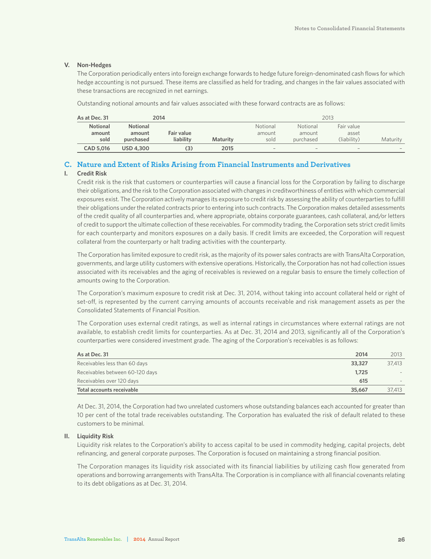#### **V. Non-Hedges**

The Corporation periodically enters into foreign exchange forwards to hedge future foreign-denominated cash flows for which hedge accounting is not pursued. These items are classified as held for trading, and changes in the fair values associated with these transactions are recognized in net earnings.

Outstanding notional amounts and fair values associated with these forward contracts are as follows:

| As at Dec. 31   |                  | 2014       |                 |          |           | 2013        |          |
|-----------------|------------------|------------|-----------------|----------|-----------|-------------|----------|
| <b>Notional</b> | <b>Notional</b>  |            |                 | Notional | Notional  | Fair value  |          |
| amount          | amount           | Fair value |                 | amount   | amount    | asset       |          |
| sold            | purchased        | liability  | <b>Maturity</b> | sold     | purchased | (liability) | Maturity |
| CAD 5.016       | <b>USD 4.300</b> | (3)        | 2015            | $\sim$   | $\sim$    | $\sim$      | $\sim$   |

#### **C. Nature and Extent of Risks Arising from Financial Instruments and Derivatives**

#### **I. Credit Risk**

Credit risk is the risk that customers or counterparties will cause a financial loss for the Corporation by failing to discharge their obligations, and the risk to the Corporation associated with changes in creditworthiness of entities with which commercial exposures exist. The Corporation actively manages its exposure to credit risk by assessing the ability of counterparties to fulfill their obligations under the related contracts prior to entering into such contracts. The Corporation makes detailed assessments of the credit quality of all counterparties and, where appropriate, obtains corporate guarantees, cash collateral, and/or letters of credit to support the ultimate collection of these receivables. For commodity trading, the Corporation sets strict credit limits for each counterparty and monitors exposures on a daily basis. If credit limits are exceeded, the Corporation will request collateral from the counterparty or halt trading activities with the counterparty.

The Corporation has limited exposure to credit risk, as the majority of its power sales contracts are with TransAlta Corporation, governments, and large utility customers with extensive operations. Historically, the Corporation has not had collection issues associated with its receivables and the aging of receivables is reviewed on a regular basis to ensure the timely collection of amounts owing to the Corporation.

The Corporation's maximum exposure to credit risk at Dec. 31, 2014, without taking into account collateral held or right of set-off, is represented by the current carrying amounts of accounts receivable and risk management assets as per the Consolidated Statements of Financial Position.

The Corporation uses external credit ratings, as well as internal ratings in circumstances where external ratings are not available, to establish credit limits for counterparties. As at Dec. 31, 2014 and 2013, significantly all of the Corporation's counterparties were considered investment grade. The aging of the Corporation's receivables is as follows:

| As at Dec. 31                   | 2014   | 2013   |
|---------------------------------|--------|--------|
| Receivables less than 60 days   | 33,327 | 37,413 |
| Receivables between 60-120 days | 1.725  |        |
| Receivables over 120 days       | 615    |        |
| Total accounts receivable       | 35,667 | 37,413 |

At Dec. 31, 2014, the Corporation had two unrelated customers whose outstanding balances each accounted for greater than 10 per cent of the total trade receivables outstanding. The Corporation has evaluated the risk of default related to these customers to be minimal.

#### **II. Liquidity Risk**

Liquidity risk relates to the Corporation's ability to access capital to be used in commodity hedging, capital projects, debt refinancing, and general corporate purposes. The Corporation is focused on maintaining a strong financial position.

The Corporation manages its liquidity risk associated with its financial liabilities by utilizing cash flow generated from operations and borrowing arrangements with TransAlta. The Corporation is in compliance with all financial covenants relating to its debt obligations as at Dec. 31, 2014.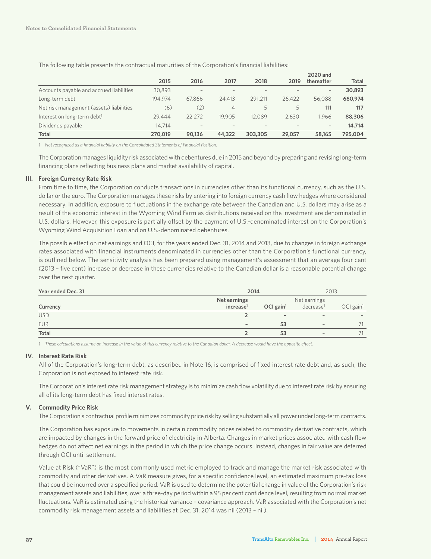|                                          |         |                          |                          |         |        | 2020 and                 |              |
|------------------------------------------|---------|--------------------------|--------------------------|---------|--------|--------------------------|--------------|
|                                          | 2015    | 2016                     | 2017                     | 2018    | 2019   | thereafter               | <b>Total</b> |
| Accounts payable and accrued liabilities | 30.893  | $\overline{\phantom{a}}$ | $\overline{\phantom{a}}$ |         |        | $\overline{\phantom{a}}$ | 30,893       |
| Long-term debt                           | 194.974 | 67.866                   | 24,413                   | 291.211 | 26.422 | 56.088                   | 660,974      |
| Net risk management (assets) liabilities | (6)     | (2)                      | 4                        | 5       | 5      | 111                      | 117          |
| Interest on long-term debt <sup>1</sup>  | 29.444  | 22.272                   | 19.905                   | 12.089  | 2.630  | 1.966                    | 88,306       |
| Dividends payable                        | 14.714  | $\overline{\phantom{a}}$ |                          |         |        | $\overline{\phantom{a}}$ | 14,714       |
| <b>Total</b>                             | 270.019 | 90.136                   | 44,322                   | 303,305 | 29,057 | 58,165                   | 795.004      |

The following table presents the contractual maturities of the Corporation's financial liabilities:

*1 Not recognized as a financial liability on the Consolidated Statements of Financial Position.*

The Corporation manages liquidity risk associated with debentures due in 2015 and beyond by preparing and revising long-term financing plans reflecting business plans and market availability of capital.

#### **III. Foreign Currency Rate Risk**

From time to time, the Corporation conducts transactions in currencies other than its functional currency, such as the U.S. dollar or the euro. The Corporation manages these risks by entering into foreign currency cash flow hedges where considered necessary. In addition, exposure to fluctuations in the exchange rate between the Canadian and U.S. dollars may arise as a result of the economic interest in the Wyoming Wind Farm as distributions received on the investment are denominated in U.S. dollars. However, this exposure is partially offset by the payment of U.S.-denominated interest on the Corporation's Wyoming Wind Acquisition Loan and on U.S.-denominated debentures.

The possible effect on net earnings and OCI, for the years ended Dec. 31, 2014 and 2013, due to changes in foreign exchange rates associated with financial instruments denominated in currencies other than the Corporation's functional currency, is outlined below. The sensitivity analysis has been prepared using management's assessment that an average four cent (2013 – five cent) increase or decrease in these currencies relative to the Canadian dollar is a reasonable potential change over the next quarter.

| Year ended Dec. 31 | 2014                                  |                              | 2013                                  |                         |
|--------------------|---------------------------------------|------------------------------|---------------------------------------|-------------------------|
| Currency           | Net earnings<br>increase <sup>1</sup> | OCI gain <sup>1</sup>        | Net earnings<br>decrease <sup>1</sup> | $OCI$ gain <sup>1</sup> |
| <b>USD</b>         |                                       | $\qquad \qquad \blacksquare$ | $\sim$                                |                         |
| <b>EUR</b>         | $\overline{\phantom{a}}$              | 53                           | $\sim$                                | 71                      |
| Total              |                                       | 53                           | $\hspace{0.1mm}-\hspace{0.1mm}$       | 71                      |

*1 These calculations assume an increase in the value of this currency relative to the Canadian dollar. A decrease would have the opposite effect.*

#### **IV. Interest Rate Risk**

All of the Corporation's long-term debt, as described in Note 16, is comprised of fixed interest rate debt and, as such, the Corporation is not exposed to interest rate risk.

The Corporation's interest rate risk management strategy is to minimize cash flow volatility due to interest rate risk by ensuring all of its long-term debt has fixed interest rates.

#### **V. Commodity Price Risk**

The Corporation's contractual profile minimizes commodity price risk by selling substantially all power under long-term contracts.

The Corporation has exposure to movements in certain commodity prices related to commodity derivative contracts, which are impacted by changes in the forward price of electricity in Alberta. Changes in market prices associated with cash flow hedges do not affect net earnings in the period in which the price change occurs. Instead, changes in fair value are deferred through OCI until settlement.

Value at Risk ("VaR") is the most commonly used metric employed to track and manage the market risk associated with commodity and other derivatives. A VaR measure gives, for a specific confidence level, an estimated maximum pre-tax loss that could be incurred over a specified period. VaR is used to determine the potential change in value of the Corporation's risk management assets and liabilities, over a three-day period within a 95 per cent confidence level, resulting from normal market fluctuations. VaR is estimated using the historical variance – covariance approach. VaR associated with the Corporation's net commodity risk management assets and liabilities at Dec. 31, 2014 was nil (2013 – nil).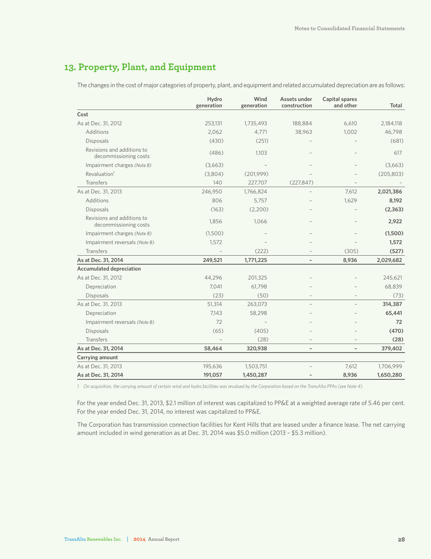### **13. Property, Plant, and Equipment**

The changes in the cost of major categories of property, plant, and equipment and related accumulated depreciation are as follows:

|                                                     | Hydro<br>generation | Wind<br>generation | Assets under<br>construction | Capital spares<br>and other | Total      |
|-----------------------------------------------------|---------------------|--------------------|------------------------------|-----------------------------|------------|
| Cost                                                |                     |                    |                              |                             |            |
| As at Dec. 31, 2012                                 | 253,131             | 1,735,493          | 188,884                      | 6,610                       | 2,184,118  |
| Additions                                           | 2,062               | 4,771              | 38,963                       | 1,002                       | 46,798     |
| Disposals                                           | (430)               | (251)              |                              |                             | (681)      |
| Revisions and additions to<br>decommissioning costs | (486)               | 1,103              |                              |                             | 617        |
| Impairment charges (Note 8)                         | (3,663)             |                    |                              |                             | (3,663)    |
| Revaluation <sup>1</sup>                            | (3,804)             | (201,999)          |                              |                             | (205, 803) |
| <b>Transfers</b>                                    | 140                 | 227,707            | (227, 847)                   |                             |            |
| As at Dec. 31, 2013                                 | 246,950             | 1,766,824          |                              | 7,612                       | 2,021,386  |
| Additions                                           | 806                 | 5,757              |                              | 1,629                       | 8,192      |
| Disposals                                           | (163)               | (2,200)            |                              |                             | (2, 363)   |
| Revisions and additions to<br>decommissioning costs | 1,856               | 1,066              |                              |                             | 2,922      |
| Impairment charges (Note 8)                         | (1,500)             |                    |                              |                             | (1,500)    |
| Impairment reversals (Note 8)                       | 1,572               |                    |                              |                             | 1,572      |
| <b>Transfers</b>                                    |                     | (222)              |                              | (305)                       | (527)      |
| As at Dec. 31, 2014                                 | 249,521             | 1,771,225          | $\overline{\phantom{0}}$     | 8,936                       | 2,029,682  |
| <b>Accumulated depreciation</b>                     |                     |                    |                              |                             |            |
| As at Dec. 31, 2012                                 | 44,296              | 201,325            |                              |                             | 245,621    |
| Depreciation                                        | 7,041               | 61,798             |                              |                             | 68,839     |
| Disposals                                           | (23)                | (50)               |                              |                             | (73)       |
| As at Dec. 31, 2013                                 | 51,314              | 263,073            |                              |                             | 314,387    |
| Depreciation                                        | 7,143               | 58,298             |                              |                             | 65,441     |
| Impairment reversals (Note 8)                       | 72                  |                    |                              |                             | 72         |
| Disposals                                           | (65)                | (405)              |                              |                             | (470)      |
| <b>Transfers</b>                                    |                     | (28)               |                              |                             | (28)       |
| As at Dec. 31, 2014                                 | 58,464              | 320,938            |                              | $\qquad \qquad -$           | 379,402    |
| Carrying amount                                     |                     |                    |                              |                             |            |
| As at Dec. 31, 2013                                 | 195,636             | 1,503,751          |                              | 7,612                       | 1,706,999  |
| As at Dec. 31, 2014                                 | 191,057             | 1,450,287          |                              | 8,936                       | 1,650,280  |

*1 On acquisition, the carrying amount of certain wind and hydro facilities was revalued by the Corporation based on the TransAlta PPAs (see Note 4).*

For the year ended Dec. 31, 2013, \$2.1 million of interest was capitalized to PP&E at a weighted average rate of 5.46 per cent. For the year ended Dec. 31, 2014, no interest was capitalized to PP&E.

The Corporation has transmission connection facilities for Kent Hills that are leased under a finance lease. The net carrying amount included in wind generation as at Dec. 31, 2014 was \$5.0 million (2013 – \$5.3 million).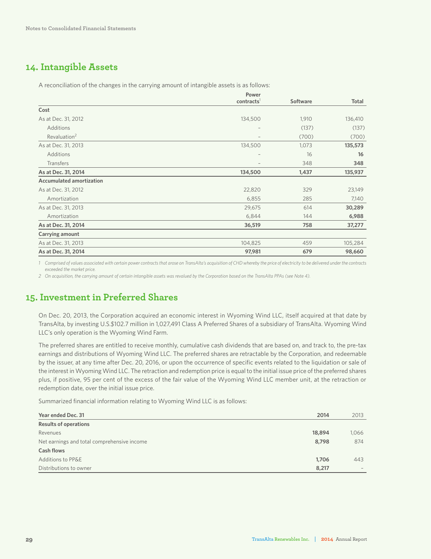### **14. Intangible Assets**

A reconciliation of the changes in the carrying amount of intangible assets is as follows:

|                                 | Power                    |                 |         |
|---------------------------------|--------------------------|-----------------|---------|
|                                 | contracts <sup>1</sup>   | <b>Software</b> | Total   |
| Cost                            |                          |                 |         |
| As at Dec. 31, 2012             | 134,500                  | 1,910           | 136,410 |
| Additions                       |                          | (137)           | (137)   |
| Revaluation <sup>2</sup>        | $\qquad \qquad -$        | (700)           | (700)   |
| As at Dec. 31, 2013             | 134,500                  | 1,073           | 135,573 |
| Additions                       | $\overline{\phantom{a}}$ | 16              | 16      |
| Transfers                       | $\qquad \qquad -$        | 348             | 348     |
| As at Dec. 31, 2014             | 134,500                  | 1,437           | 135,937 |
| <b>Accumulated amortization</b> |                          |                 |         |
| As at Dec. 31, 2012             | 22,820                   | 329             | 23,149  |
| Amortization                    | 6,855                    | 285             | 7,140   |
| As at Dec. 31, 2013             | 29,675                   | 614             | 30,289  |
| Amortization                    | 6,844                    | 144             | 6,988   |
| As at Dec. 31, 2014             | 36,519                   | 758             | 37,277  |
| Carrying amount                 |                          |                 |         |
| As at Dec. 31, 2013             | 104,825                  | 459             | 105,284 |
| As at Dec. 31, 2014             | 97,981                   | 679             | 98,660  |

*1 Comprised of values associated with certain power contracts that arose on TransAlta's acquisition of CHD whereby the price of electricity to be delivered under the contracts exceeded the market price.*

*2 On acquisition, the carrying amount of certain intangible assets was revalued by the Corporation based on the TransAlta PPAs (see Note 4).*

### **15. Investment in Preferred Shares**

On Dec. 20, 2013, the Corporation acquired an economic interest in Wyoming Wind LLC, itself acquired at that date by TransAlta, by investing U.S.\$102.7 million in 1,027,491 Class A Preferred Shares of a subsidiary of TransAlta. Wyoming Wind LLC's only operation is the Wyoming Wind Farm.

The preferred shares are entitled to receive monthly, cumulative cash dividends that are based on, and track to, the pre-tax earnings and distributions of Wyoming Wind LLC. The preferred shares are retractable by the Corporation, and redeemable by the issuer, at any time after Dec. 20, 2016, or upon the occurrence of specific events related to the liquidation or sale of the interest in Wyoming Wind LLC. The retraction and redemption price is equal to the initial issue price of the preferred shares plus, if positive, 95 per cent of the excess of the fair value of the Wyoming Wind LLC member unit, at the retraction or redemption date, over the initial issue price.

Summarized financial information relating to Wyoming Wind LLC is as follows:

| Year ended Dec. 31<br>2014                           | 2013                     |
|------------------------------------------------------|--------------------------|
| <b>Results of operations</b>                         |                          |
| 18,894<br>Revenues                                   | 1,066                    |
| Net earnings and total comprehensive income<br>8,798 | 874                      |
| <b>Cash flows</b>                                    |                          |
| Additions to PP&E<br>1,706                           | 443                      |
| Distributions to owner<br>8,217                      | $\overline{\phantom{a}}$ |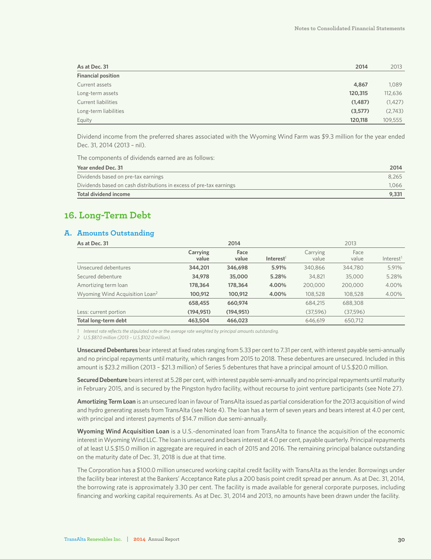| As at Dec. 31             | 2014    | 2013     |
|---------------------------|---------|----------|
| <b>Financial position</b> |         |          |
| Current assets            | 4,867   | 1,089    |
| Long-term assets          | 120,315 | 112,636  |
| Current liabilities       | (1,487) | (1, 427) |
| Long-term liabilities     | (3,577) | (2,743)  |
| Equity                    | 120,118 | 109,555  |

Dividend income from the preferred shares associated with the Wyoming Wind Farm was \$9.3 million for the year ended Dec. 31, 2014 (2013 – nil).

The components of dividends earned are as follows:

| Year ended Dec. 31                                                  | 2014  |
|---------------------------------------------------------------------|-------|
| Dividends based on pre-tax earnings                                 | 8.265 |
| Dividends based on cash distributions in excess of pre-tax earnings | 1.066 |
| Total dividend income                                               | 9,331 |

### **16. Long-Term Debt**

#### **A. Amounts Outstanding**

| As at Dec. 31                              |                   | 2014          |                       |                   | 2013          |                       |
|--------------------------------------------|-------------------|---------------|-----------------------|-------------------|---------------|-----------------------|
|                                            | Carrying<br>value | Face<br>value | Interest <sup>1</sup> | Carrying<br>value | Face<br>value | Interest <sup>1</sup> |
| Unsecured debentures                       | 344,201           | 346,698       | 5.91%                 | 340,866           | 344,780       | 5.91%                 |
| Secured debenture                          | 34,978            | 35,000        | 5.28%                 | 34.821            | 35,000        | 5.28%                 |
| Amortizing term loan                       | 178,364           | 178,364       | 4.00%                 | 200,000           | 200,000       | 4.00%                 |
| Wyoming Wind Acquisition Loan <sup>2</sup> | 100,912           | 100,912       | 4.00%                 | 108,528           | 108,528       | 4.00%                 |
|                                            | 658,455           | 660,974       |                       | 684,215           | 688,308       |                       |
| Less: current portion                      | (194, 951)        | (194, 951)    |                       | (37,596)          | (37,596)      |                       |
| Total long-term debt                       | 463,504           | 466,023       |                       | 646,619           | 650,712       |                       |

*1 Interest rate reflects the stipulated rate or the average rate weighted by principal amounts outstanding.*

*2 U.S.\$87.0 million (2013 – U.S.\$102.0 million).*

**Unsecured Debentures** bear interest at fixed rates ranging from 5.33 per cent to 7.31 per cent, with interest payable semi-annually and no principal repayments until maturity, which ranges from 2015 to 2018. These debentures are unsecured. Included in this amount is \$23.2 million (2013 – \$21.3 million) of Series 5 debentures that have a principal amount of U.S.\$20.0 million.

**Secured Debenture** bears interest at 5.28 per cent, with interest payable semi-annually and no principal repayments until maturity in February 2015, and is secured by the Pingston hydro facility, without recourse to joint venture participants (see Note 27).

**Amortizing Term Loan** is an unsecured loan in favour of TransAlta issued as partial consideration for the 2013 acquisition of wind and hydro generating assets from TransAlta (see Note 4). The loan has a term of seven years and bears interest at 4.0 per cent, with principal and interest payments of \$14.7 million due semi-annually.

**Wyoming Wind Acquisition Loan** is a U.S.-denominated loan from TransAlta to finance the acquisition of the economic interest in Wyoming Wind LLC. The loan is unsecured and bears interest at 4.0 per cent, payable quarterly. Principal repayments of at least U.S.\$15.0 million in aggregate are required in each of 2015 and 2016. The remaining principal balance outstanding on the maturity date of Dec. 31, 2018 is due at that time.

The Corporation has a \$100.0 million unsecured working capital credit facility with TransAlta as the lender. Borrowings under the facility bear interest at the Bankers' Acceptance Rate plus a 200 basis point credit spread per annum. As at Dec. 31, 2014, the borrowing rate is approximately 3.30 per cent. The facility is made available for general corporate purposes, including financing and working capital requirements. As at Dec. 31, 2014 and 2013, no amounts have been drawn under the facility.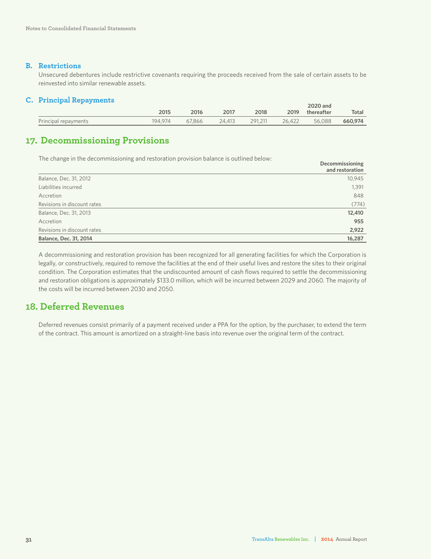#### **B. Restrictions**

Unsecured debentures include restrictive covenants requiring the proceeds received from the sale of certain assets to be reinvested into similar renewable assets.

#### **C. Principal Repayments**

|                      |         |        |        |         |        | 2020 and   |         |
|----------------------|---------|--------|--------|---------|--------|------------|---------|
|                      | 2015    | 2016   | 2017   | 2018    | 2019   | thereafter | Total   |
| Principal repayments | 194.974 | 67.866 | 24.413 | 291.211 | 26.422 | 56.088     | 660,974 |

### **17. Decommissioning Provisions**

The change in the decommissioning and restoration provision balance is outlined below:

|                               | <b>Decommissioning</b><br>and restoration |
|-------------------------------|-------------------------------------------|
| Balance, Dec. 31, 2012        | 10,945                                    |
| Liabilities incurred          | 1,391                                     |
| Accretion                     | 848                                       |
| Revisions in discount rates   | (774)                                     |
| Balance, Dec. 31, 2013        | 12,410                                    |
| Accretion                     | 955                                       |
| Revisions in discount rates   | 2,922                                     |
| <b>Balance, Dec. 31, 2014</b> | 16,287                                    |

A decommissioning and restoration provision has been recognized for all generating facilities for which the Corporation is legally, or constructively, required to remove the facilities at the end of their useful lives and restore the sites to their original condition. The Corporation estimates that the undiscounted amount of cash flows required to settle the decommissioning and restoration obligations is approximately \$133.0 million, which will be incurred between 2029 and 2060. The majority of the costs will be incurred between 2030 and 2050.

### **18. Deferred Revenues**

Deferred revenues consist primarily of a payment received under a PPA for the option, by the purchaser, to extend the term of the contract. This amount is amortized on a straight-line basis into revenue over the original term of the contract.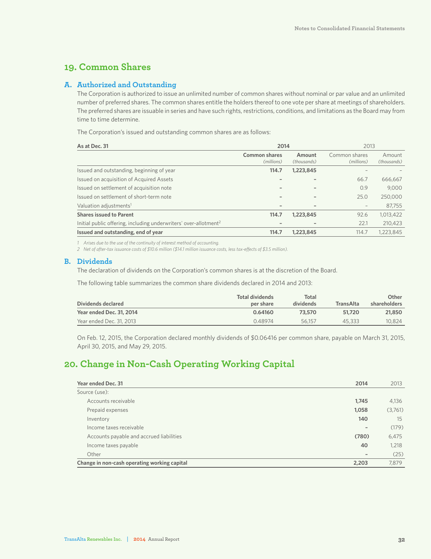### **19. Common Shares**

#### **A. Authorized and Outstanding**

The Corporation is authorized to issue an unlimited number of common shares without nominal or par value and an unlimited number of preferred shares. The common shares entitle the holders thereof to one vote per share at meetings of shareholders. The preferred shares are issuable in series and have such rights, restrictions, conditions, and limitations as the Board may from time to time determine.

The Corporation's issued and outstanding common shares are as follows:

| As at Dec. 31                                                                | 2014                               |                       | 2013                        |                       |
|------------------------------------------------------------------------------|------------------------------------|-----------------------|-----------------------------|-----------------------|
|                                                                              | <b>Common shares</b><br>(millions) | Amount<br>(thousands) | Common shares<br>(millions) | Amount<br>(thousands) |
| Issued and outstanding, beginning of year                                    | 114.7                              | 1,223,845             |                             |                       |
| Issued on acquisition of Acquired Assets                                     | $\qquad \qquad$                    |                       | 66.7                        | 666,667               |
| Issued on settlement of acquisition note                                     | $\qquad \qquad \blacksquare$       |                       | 0.9                         | 9,000                 |
| Issued on settlement of short-term note                                      | $\qquad \qquad$                    |                       | 25.0                        | 250,000               |
| Valuation adjustments <sup>1</sup>                                           | $\qquad \qquad$                    |                       |                             | 87,755                |
| <b>Shares issued to Parent</b>                                               | 114.7                              | 1,223,845             | 92.6                        | 1,013,422             |
| Initial public offering, including underwriters' over-allotment <sup>2</sup> |                                    |                       | 22.1                        | 210.423               |
| Issued and outstanding, end of year                                          | 114.7                              | 1,223,845             | 114.7                       | 1,223,845             |

*1 Arises due to the use of the continuity of interest method of accounting.*

*2 Net of after-tax issuance costs of \$10.6 million (\$14.1 million issuance costs, less tax-effects of \$3.5 million).*

#### **B. Dividends**

The declaration of dividends on the Corporation's common shares is at the discretion of the Board.

The following table summarizes the common share dividends declared in 2014 and 2013:

| Dividends declared       | Total dividends<br>per share | Total<br>dividends | TransAlta | Other<br>shareholders |
|--------------------------|------------------------------|--------------------|-----------|-----------------------|
| Year ended Dec. 31, 2014 | 0.64160                      | 73.570             | 51.720    | 21,850                |
| Year ended Dec. 31, 2013 | 0.48974                      | 56.157             | 45.333    | 10.824                |

On Feb. 12, 2015, the Corporation declared monthly dividends of \$0.06416 per common share, payable on March 31, 2015, April 30, 2015, and May 29, 2015.

### **20. Change in Non-Cash Operating Working Capital**

| Year ended Dec. 31                           | 2014                         | 2013    |
|----------------------------------------------|------------------------------|---------|
| Source (use):                                |                              |         |
| Accounts receivable                          | 1,745                        | 4,136   |
| Prepaid expenses                             | 1,058                        | (3,761) |
| Inventory                                    | 140                          | 15      |
| Income taxes receivable                      | $\qquad \qquad \blacksquare$ | (179)   |
| Accounts payable and accrued liabilities     | (780)                        | 6,475   |
| Income taxes payable                         | 40                           | 1,218   |
| Other                                        | $\qquad \qquad$              | (25)    |
| Change in non-cash operating working capital | 2,203                        | 7.879   |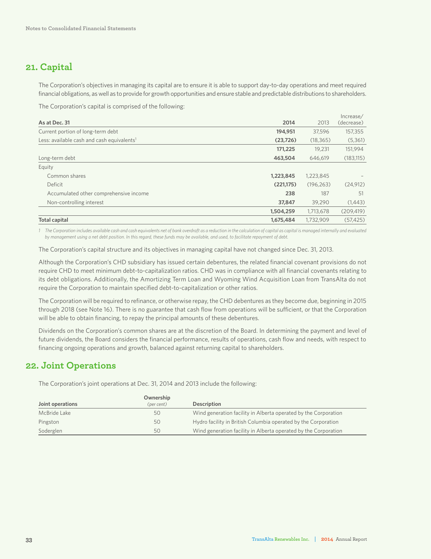### **21. Capital**

The Corporation's objectives in managing its capital are to ensure it is able to support day-to-day operations and meet required financial obligations, as well as to provide for growth opportunities and ensure stable and predictable distributions to shareholders.

The Corporation's capital is comprised of the following:

|                                                        |            |            | Increase/  |
|--------------------------------------------------------|------------|------------|------------|
| As at Dec. 31                                          | 2014       | 2013       | (decrease) |
| Current portion of long-term debt                      | 194,951    | 37,596     | 157,355    |
| Less: available cash and cash equivalents <sup>1</sup> | (23, 726)  | (18, 365)  | (5,361)    |
|                                                        | 171,225    | 19.231     | 151,994    |
| Long-term debt                                         | 463,504    | 646.619    | (183, 115) |
| Equity                                                 |            |            |            |
| Common shares                                          | 1,223,845  | 1,223,845  |            |
| Deficit                                                | (221, 175) | (196, 263) | (24, 912)  |
| Accumulated other comprehensive income                 | 238        | 187        | 51         |
| Non-controlling interest                               | 37,847     | 39,290     | (1,443)    |
|                                                        | 1,504,259  | 1,713,678  | (209, 419) |
| <b>Total capital</b>                                   | 1,675,484  | 1.732.909  | (57.425)   |

*1 The Corporation includes available cash and cash equivalents net of bank overdraft as a reduction in the calculation of capital as capital is managed internally and evaluated by management using a net debt position. In this regard, these funds may be available, and used, to facilitate repayment of debt.*

The Corporation's capital structure and its objectives in managing capital have not changed since Dec. 31, 2013.

Although the Corporation's CHD subsidiary has issued certain debentures, the related financial covenant provisions do not require CHD to meet minimum debt-to-capitalization ratios. CHD was in compliance with all financial covenants relating to its debt obligations. Additionally, the Amortizing Term Loan and Wyoming Wind Acquisition Loan from TransAlta do not require the Corporation to maintain specified debt-to-capitalization or other ratios.

The Corporation will be required to refinance, or otherwise repay, the CHD debentures as they become due, beginning in 2015 through 2018 (see Note 16). There is no guarantee that cash flow from operations will be sufficient, or that the Corporation will be able to obtain financing, to repay the principal amounts of these debentures.

Dividends on the Corporation's common shares are at the discretion of the Board. In determining the payment and level of future dividends, the Board considers the financial performance, results of operations, cash flow and needs, with respect to financing ongoing operations and growth, balanced against returning capital to shareholders.

### **22. Joint Operations**

The Corporation's joint operations at Dec. 31, 2014 and 2013 include the following:

|                  | Ownership  |                                                                 |
|------------------|------------|-----------------------------------------------------------------|
| Joint operations | (per cent) | <b>Description</b>                                              |
| McBride Lake     | 50         | Wind generation facility in Alberta operated by the Corporation |
| Pingston         | 50         | Hydro facility in British Columbia operated by the Corporation  |
| Soderglen        | 50         | Wind generation facility in Alberta operated by the Corporation |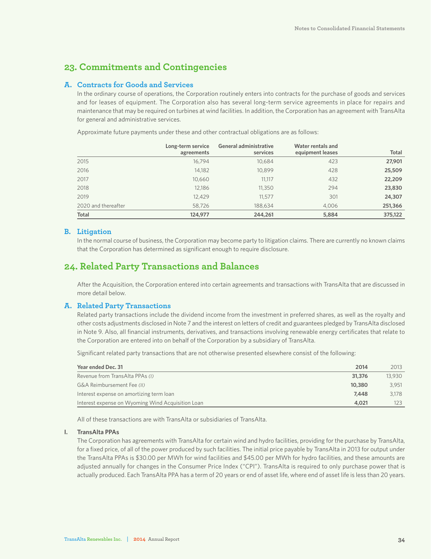### **23. Commitments and Contingencies**

#### **A. Contracts for Goods and Services**

In the ordinary course of operations, the Corporation routinely enters into contracts for the purchase of goods and services and for leases of equipment. The Corporation also has several long-term service agreements in place for repairs and maintenance that may be required on turbines at wind facilities. In addition, the Corporation has an agreement with TransAlta for general and administrative services.

Approximate future payments under these and other contractual obligations are as follows:

|                     | Long-term service<br>agreements | <b>General administrative</b><br>services | Water rentals and<br>equipment leases | <b>Total</b> |
|---------------------|---------------------------------|-------------------------------------------|---------------------------------------|--------------|
| 2015                | 16.794                          | 10.684                                    | 423                                   | 27,901       |
| 2016                | 14,182                          | 10,899                                    | 428                                   | 25,509       |
| 2017                | 10,660                          | 11,117                                    | 432                                   | 22,209       |
| 2018                | 12,186                          | 11,350                                    | 294                                   | 23,830       |
| 2019                | 12.429                          | 11,577                                    | 301                                   | 24,307       |
| 2020 and thereafter | 58,726                          | 188,634                                   | 4,006                                 | 251,366      |
| Total               | 124,977                         | 244,261                                   | 5,884                                 | 375,122      |

#### **B. Litigation**

In the normal course of business, the Corporation may become party to litigation claims. There are currently no known claims that the Corporation has determined as significant enough to require disclosure.

### **24. Related Party Transactions and Balances**

After the Acquisition, the Corporation entered into certain agreements and transactions with TransAlta that are discussed in more detail below.

#### **A. Related Party Transactions**

Related party transactions include the dividend income from the investment in preferred shares, as well as the royalty and other costs adjustments disclosed in Note 7 and the interest on letters of credit and guarantees pledged by TransAlta disclosed in Note 9. Also, all financial instruments, derivatives, and transactions involving renewable energy certificates that relate to the Corporation are entered into on behalf of the Corporation by a subsidiary of TransAlta.

Significant related party transactions that are not otherwise presented elsewhere consist of the following:

| Year ended Dec. 31                                | 2014   | 2013   |
|---------------------------------------------------|--------|--------|
| Revenue from TransAlta PPAs (I)                   | 31,376 | 13,930 |
| G&A Reimbursement Fee (II)                        | 10,380 | 3,951  |
| Interest expense on amortizing term loan          | 7,448  | 3.178  |
| Interest expense on Wyoming Wind Acquisition Loan | 4,021  |        |

All of these transactions are with TransAlta or subsidiaries of TransAlta.

#### **I. TransAlta PPAs**

The Corporation has agreements with TransAlta for certain wind and hydro facilities, providing for the purchase by TransAlta, for a fixed price, of all of the power produced by such facilities. The initial price payable by TransAlta in 2013 for output under the TransAlta PPAs is \$30.00 per MWh for wind facilities and \$45.00 per MWh for hydro facilities, and these amounts are adjusted annually for changes in the Consumer Price Index ("CPI"). TransAlta is required to only purchase power that is actually produced. Each TransAlta PPA has a term of 20 years or end of asset life, where end of asset life is less than 20 years.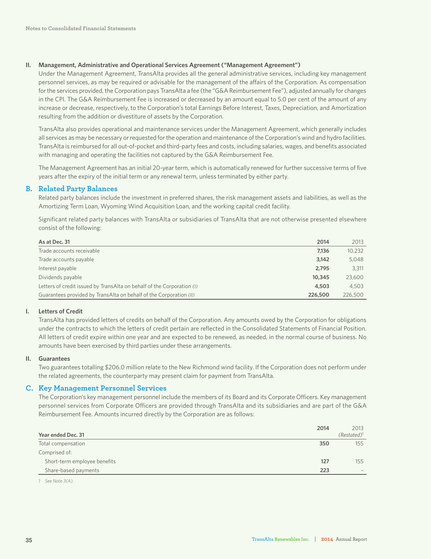#### **II. Management, Administrative and Operational Services Agreement ("Management Agreement")**

Under the Management Agreement, TransAlta provides all the general administrative services, including key management personnel services, as may be required or advisable for the management of the affairs of the Corporation. As compensation for the services provided, the Corporation pays TransAlta a fee (the "G&A Reimbursement Fee"), adjusted annually for changes in the CPI. The G&A Reimbursement Fee is increased or decreased by an amount equal to 5.0 per cent of the amount of any increase or decrease, respectively, to the Corporation's total Earnings Before Interest, Taxes, Depreciation, and Amortization resulting from the addition or divestiture of assets by the Corporation.

TransAlta also provides operational and maintenance services under the Management Agreement, which generally includes all services as may be necessary or requested for the operation and maintenance of the Corporation's wind and hydro facilities. TransAlta is reimbursed for all out-of-pocket and third-party fees and costs, including salaries, wages, and benefits associated with managing and operating the facilities not captured by the G&A Reimbursement Fee.

The Management Agreement has an initial 20-year term, which is automatically renewed for further successive terms of five years after the expiry of the initial term or any renewal term, unless terminated by either party.

#### **B. Related Party Balances**

Related party balances include the investment in preferred shares, the risk management assets and liabilities, as well as the Amortizing Term Loan, Wyoming Wind Acquisition Loan, and the working capital credit facility.

Significant related party balances with TransAlta or subsidiaries of TransAlta that are not otherwise presented elsewhere consist of the following:

| As at Dec. 31                                                          | 2014    | 2013    |
|------------------------------------------------------------------------|---------|---------|
| Trade accounts receivable                                              | 7.136   | 10.232  |
| Trade accounts payable                                                 | 3.142   | 5,048   |
| Interest payable                                                       | 2.795   | 3.311   |
| Dividends payable                                                      | 10,345  | 23,600  |
| Letters of credit issued by TransAlta on behalf of the Corporation (I) | 4,503   | 4.503   |
| Guarantees provided by TransAlta on behalf of the Corporation (II)     | 226,500 | 226,500 |

#### **I. Letters of Credit**

TransAlta has provided letters of credits on behalf of the Corporation. Any amounts owed by the Corporation for obligations under the contracts to which the letters of credit pertain are reflected in the Consolidated Statements of Financial Position. All letters of credit expire within one year and are expected to be renewed, as needed, in the normal course of business. No amounts have been exercised by third parties under these arrangements.

#### **II. Guarantees**

Two guarantees totalling \$206.0 million relate to the New Richmond wind facility. If the Corporation does not perform under the related agreements, the counterparty may present claim for payment from TransAlta.

#### **C. Key Management Personnel Services**

The Corporation's key management personnel include the members of its Board and its Corporate Officers. Key management personnel services from Corporate Officers are provided through TransAlta and its subsidiaries and are part of the G&A Reimbursement Fee. Amounts incurred directly by the Corporation are as follows:

| Year ended Dec. 31           | 2014 | 2013<br>$(Restated)^1$   |
|------------------------------|------|--------------------------|
| Total compensation           | 350  | 155                      |
| Comprised of:                |      |                          |
| Short-term employee benefits | 127  | 155                      |
| Share-based payments         | 223  | $\overline{\phantom{a}}$ |

*1 See Note 3(A).*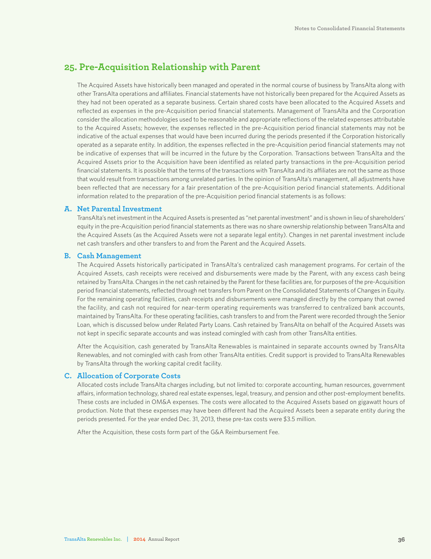### **25. Pre-Acquisition Relationship with Parent**

The Acquired Assets have historically been managed and operated in the normal course of business by TransAlta along with other TransAlta operations and affiliates. Financial statements have not historically been prepared for the Acquired Assets as they had not been operated as a separate business. Certain shared costs have been allocated to the Acquired Assets and reflected as expenses in the pre-Acquisition period financial statements. Management of TransAlta and the Corporation consider the allocation methodologies used to be reasonable and appropriate reflections of the related expenses attributable to the Acquired Assets; however, the expenses reflected in the pre-Acquisition period financial statements may not be indicative of the actual expenses that would have been incurred during the periods presented if the Corporation historically operated as a separate entity. In addition, the expenses reflected in the pre-Acquisition period financial statements may not be indicative of expenses that will be incurred in the future by the Corporation. Transactions between TransAlta and the Acquired Assets prior to the Acquisition have been identified as related party transactions in the pre-Acquisition period financial statements. It is possible that the terms of the transactions with TransAlta and its affiliates are not the same as those that would result from transactions among unrelated parties. In the opinion of TransAlta's management, all adjustments have been reflected that are necessary for a fair presentation of the pre-Acquisition period financial statements. Additional information related to the preparation of the pre-Acquisition period financial statements is as follows:

#### **A. Net Parental Investment**

TransAlta's net investment in the Acquired Assets is presented as "net parental investment" and is shown in lieu of shareholders' equity in the pre-Acquisition period financial statements as there was no share ownership relationship between TransAlta and the Acquired Assets (as the Acquired Assets were not a separate legal entity). Changes in net parental investment include net cash transfers and other transfers to and from the Parent and the Acquired Assets.

#### **B. Cash Management**

The Acquired Assets historically participated in TransAlta's centralized cash management programs. For certain of the Acquired Assets, cash receipts were received and disbursements were made by the Parent, with any excess cash being retained by TransAlta. Changes in the net cash retained by the Parent for these facilities are, for purposes of the pre-Acquisition period financial statements, reflected through net transfers from Parent on the Consolidated Statements of Changes in Equity. For the remaining operating facilities, cash receipts and disbursements were managed directly by the company that owned the facility, and cash not required for near-term operating requirements was transferred to centralized bank accounts, maintained by TransAlta. For these operating facilities, cash transfers to and from the Parent were recorded through the Senior Loan, which is discussed below under Related Party Loans. Cash retained by TransAlta on behalf of the Acquired Assets was not kept in specific separate accounts and was instead comingled with cash from other TransAlta entities.

After the Acquisition, cash generated by TransAlta Renewables is maintained in separate accounts owned by TransAlta Renewables, and not comingled with cash from other TransAlta entities. Credit support is provided to TransAlta Renewables by TransAlta through the working capital credit facility.

#### **C. Allocation of Corporate Costs**

Allocated costs include TransAlta charges including, but not limited to: corporate accounting, human resources, government affairs, information technology, shared real estate expenses, legal, treasury, and pension and other post-employment benefits. These costs are included in OM&A expenses. The costs were allocated to the Acquired Assets based on gigawatt hours of production. Note that these expenses may have been different had the Acquired Assets been a separate entity during the periods presented. For the year ended Dec. 31, 2013, these pre-tax costs were \$3.5 million.

After the Acquisition, these costs form part of the G&A Reimbursement Fee.